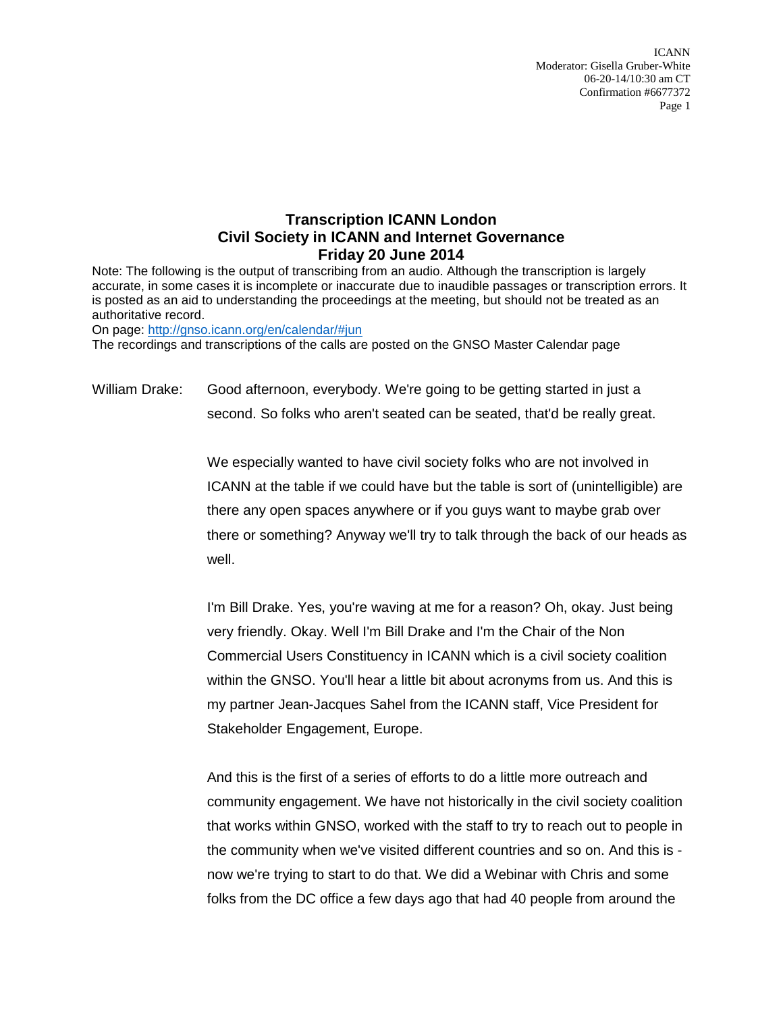ICANN Moderator: Gisella Gruber-White 06-20-14/10:30 am CT Confirmation #6677372 Page 1

## **Transcription ICANN London Civil Society in ICANN and Internet Governance Friday 20 June 2014**

Note: The following is the output of transcribing from an audio. Although the transcription is largely accurate, in some cases it is incomplete or inaccurate due to inaudible passages or transcription errors. It is posted as an aid to understanding the proceedings at the meeting, but should not be treated as an authoritative record.

On page:<http://gnso.icann.org/en/calendar/#jun>

The recordings and transcriptions of the calls are posted on the GNSO Master Calendar page

William Drake: Good afternoon, everybody. We're going to be getting started in just a second. So folks who aren't seated can be seated, that'd be really great.

> We especially wanted to have civil society folks who are not involved in ICANN at the table if we could have but the table is sort of (unintelligible) are there any open spaces anywhere or if you guys want to maybe grab over there or something? Anyway we'll try to talk through the back of our heads as well.

I'm Bill Drake. Yes, you're waving at me for a reason? Oh, okay. Just being very friendly. Okay. Well I'm Bill Drake and I'm the Chair of the Non Commercial Users Constituency in ICANN which is a civil society coalition within the GNSO. You'll hear a little bit about acronyms from us. And this is my partner Jean-Jacques Sahel from the ICANN staff, Vice President for Stakeholder Engagement, Europe.

And this is the first of a series of efforts to do a little more outreach and community engagement. We have not historically in the civil society coalition that works within GNSO, worked with the staff to try to reach out to people in the community when we've visited different countries and so on. And this is now we're trying to start to do that. We did a Webinar with Chris and some folks from the DC office a few days ago that had 40 people from around the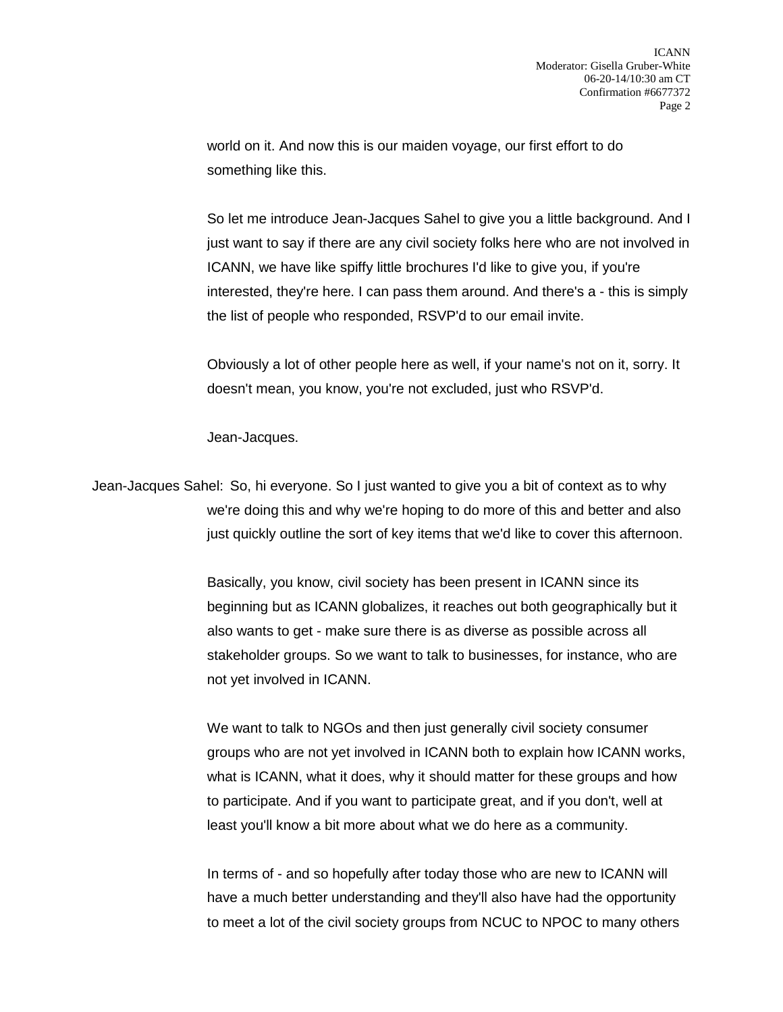world on it. And now this is our maiden voyage, our first effort to do something like this.

So let me introduce Jean-Jacques Sahel to give you a little background. And I just want to say if there are any civil society folks here who are not involved in ICANN, we have like spiffy little brochures I'd like to give you, if you're interested, they're here. I can pass them around. And there's a - this is simply the list of people who responded, RSVP'd to our email invite.

Obviously a lot of other people here as well, if your name's not on it, sorry. It doesn't mean, you know, you're not excluded, just who RSVP'd.

Jean-Jacques.

Jean-Jacques Sahel: So, hi everyone. So I just wanted to give you a bit of context as to why we're doing this and why we're hoping to do more of this and better and also just quickly outline the sort of key items that we'd like to cover this afternoon.

> Basically, you know, civil society has been present in ICANN since its beginning but as ICANN globalizes, it reaches out both geographically but it also wants to get - make sure there is as diverse as possible across all stakeholder groups. So we want to talk to businesses, for instance, who are not yet involved in ICANN.

We want to talk to NGOs and then just generally civil society consumer groups who are not yet involved in ICANN both to explain how ICANN works, what is ICANN, what it does, why it should matter for these groups and how to participate. And if you want to participate great, and if you don't, well at least you'll know a bit more about what we do here as a community.

In terms of - and so hopefully after today those who are new to ICANN will have a much better understanding and they'll also have had the opportunity to meet a lot of the civil society groups from NCUC to NPOC to many others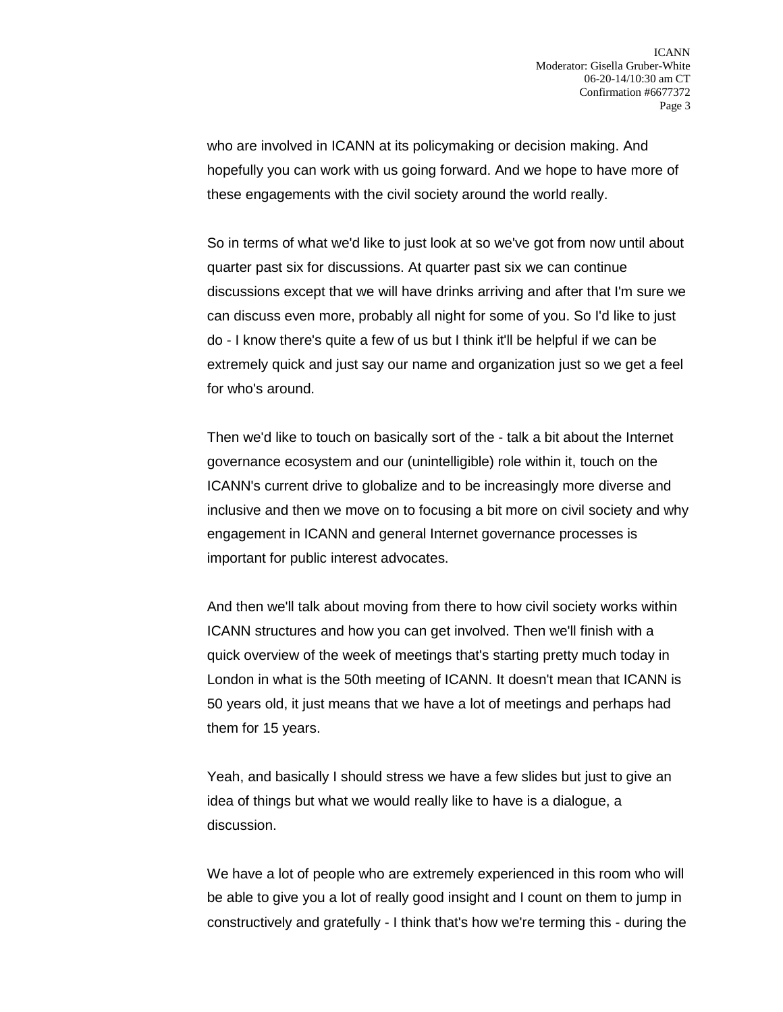who are involved in ICANN at its policymaking or decision making. And hopefully you can work with us going forward. And we hope to have more of these engagements with the civil society around the world really.

So in terms of what we'd like to just look at so we've got from now until about quarter past six for discussions. At quarter past six we can continue discussions except that we will have drinks arriving and after that I'm sure we can discuss even more, probably all night for some of you. So I'd like to just do - I know there's quite a few of us but I think it'll be helpful if we can be extremely quick and just say our name and organization just so we get a feel for who's around.

Then we'd like to touch on basically sort of the - talk a bit about the Internet governance ecosystem and our (unintelligible) role within it, touch on the ICANN's current drive to globalize and to be increasingly more diverse and inclusive and then we move on to focusing a bit more on civil society and why engagement in ICANN and general Internet governance processes is important for public interest advocates.

And then we'll talk about moving from there to how civil society works within ICANN structures and how you can get involved. Then we'll finish with a quick overview of the week of meetings that's starting pretty much today in London in what is the 50th meeting of ICANN. It doesn't mean that ICANN is 50 years old, it just means that we have a lot of meetings and perhaps had them for 15 years.

Yeah, and basically I should stress we have a few slides but just to give an idea of things but what we would really like to have is a dialogue, a discussion.

We have a lot of people who are extremely experienced in this room who will be able to give you a lot of really good insight and I count on them to jump in constructively and gratefully - I think that's how we're terming this - during the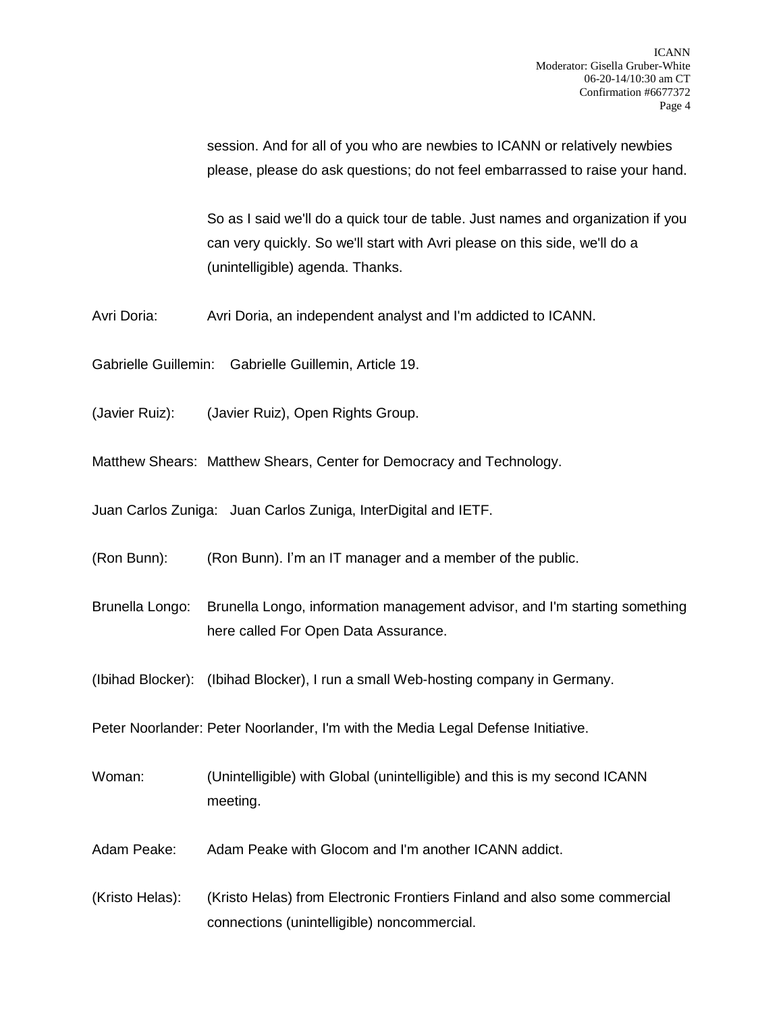session. And for all of you who are newbies to ICANN or relatively newbies please, please do ask questions; do not feel embarrassed to raise your hand.

So as I said we'll do a quick tour de table. Just names and organization if you can very quickly. So we'll start with Avri please on this side, we'll do a (unintelligible) agenda. Thanks.

Avri Doria: Avri Doria, an independent analyst and I'm addicted to ICANN.

Gabrielle Guillemin: Gabrielle Guillemin, Article 19.

(Javier Ruiz): (Javier Ruiz), Open Rights Group.

Matthew Shears: Matthew Shears, Center for Democracy and Technology.

Juan Carlos Zuniga: Juan Carlos Zuniga, InterDigital and IETF.

(Ron Bunn): (Ron Bunn). I'm an IT manager and a member of the public.

Brunella Longo: Brunella Longo, information management advisor, and I'm starting something here called For Open Data Assurance.

(Ibihad Blocker): (Ibihad Blocker), I run a small Web-hosting company in Germany.

Peter Noorlander: Peter Noorlander, I'm with the Media Legal Defense Initiative.

Woman: (Unintelligible) with Global (unintelligible) and this is my second ICANN meeting.

Adam Peake: Adam Peake with Glocom and I'm another ICANN addict.

(Kristo Helas): (Kristo Helas) from Electronic Frontiers Finland and also some commercial connections (unintelligible) noncommercial.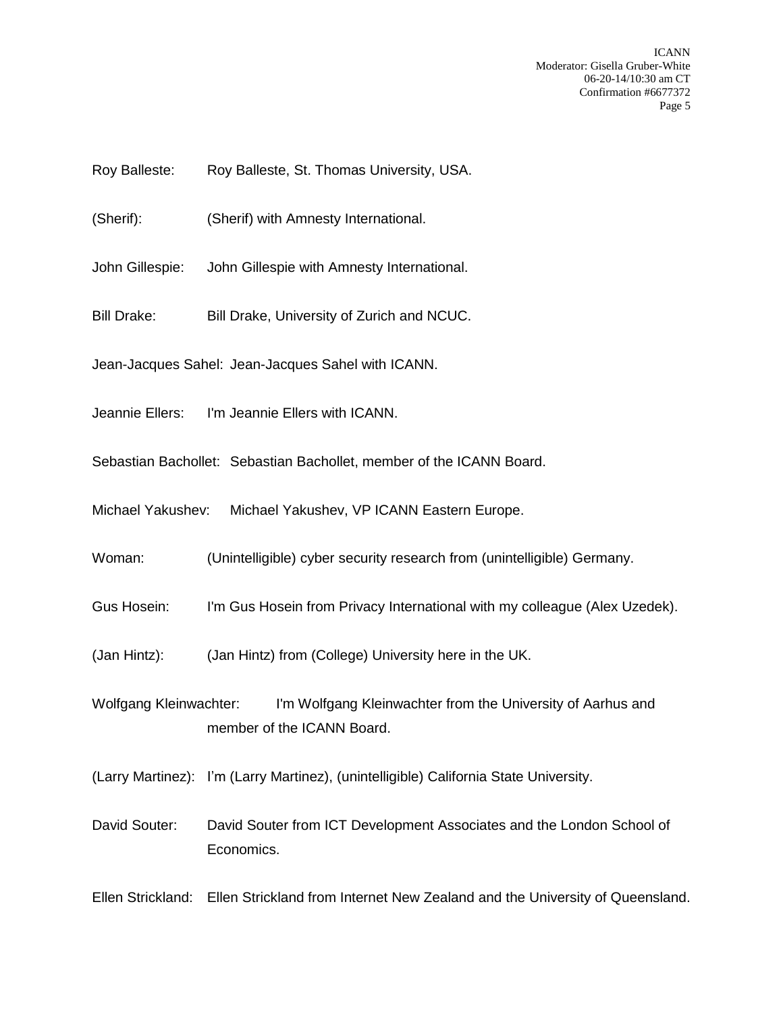ICANN Moderator: Gisella Gruber-White 06-20-14/10:30 am CT Confirmation #6677372 Page 5

- Roy Balleste: Roy Balleste, St. Thomas University, USA.
- (Sherif): (Sherif) with Amnesty International.
- John Gillespie: John Gillespie with Amnesty International.
- Bill Drake: Bill Drake, University of Zurich and NCUC.
- Jean-Jacques Sahel: Jean-Jacques Sahel with ICANN.
- Jeannie Ellers: I'm Jeannie Ellers with ICANN.
- Sebastian Bachollet: Sebastian Bachollet, member of the ICANN Board.
- Michael Yakushev: Michael Yakushev, VP ICANN Eastern Europe.
- Woman: (Unintelligible) cyber security research from (unintelligible) Germany.
- Gus Hosein: I'm Gus Hosein from Privacy International with my colleague (Alex Uzedek).
- (Jan Hintz): (Jan Hintz) from (College) University here in the UK.
- Wolfgang Kleinwachter: I'm Wolfgang Kleinwachter from the University of Aarhus and member of the ICANN Board.
- (Larry Martinez): I'm (Larry Martinez), (unintelligible) California State University.
- David Souter: David Souter from ICT Development Associates and the London School of Economics.

Ellen Strickland: Ellen Strickland from Internet New Zealand and the University of Queensland.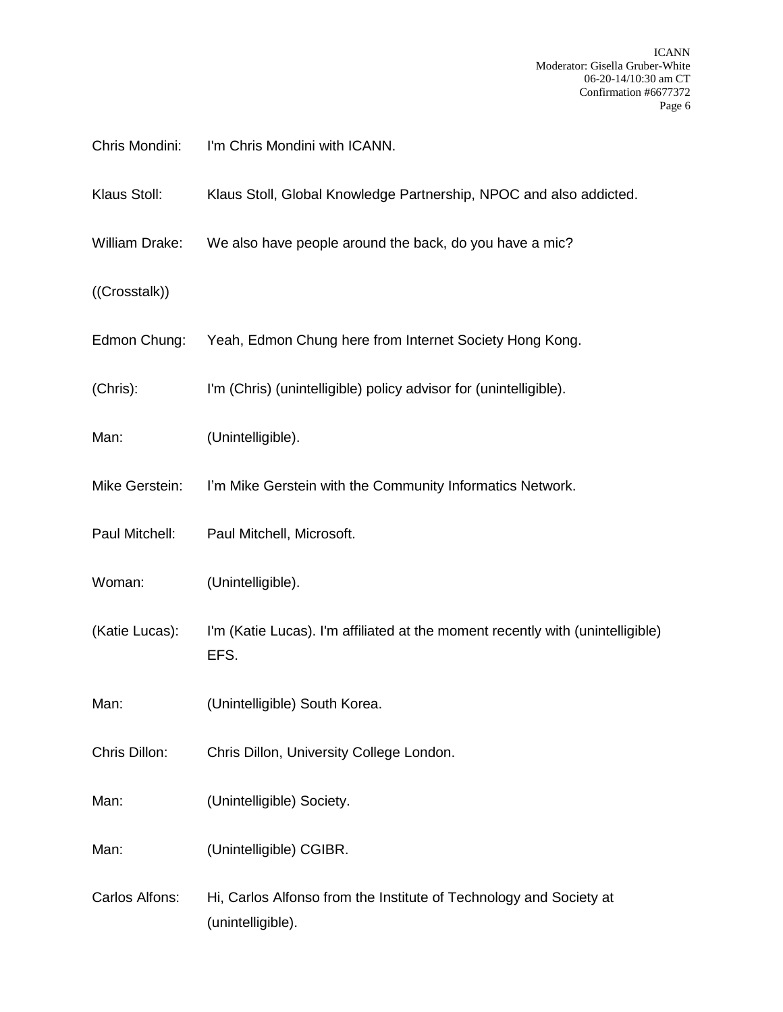| Chris Mondini: | I'm Chris Mondini with ICANN.                                                           |
|----------------|-----------------------------------------------------------------------------------------|
| Klaus Stoll:   | Klaus Stoll, Global Knowledge Partnership, NPOC and also addicted.                      |
| William Drake: | We also have people around the back, do you have a mic?                                 |
| ((Crosstalk))  |                                                                                         |
| Edmon Chung:   | Yeah, Edmon Chung here from Internet Society Hong Kong.                                 |
| (Chris):       | I'm (Chris) (unintelligible) policy advisor for (unintelligible).                       |
| Man:           | (Unintelligible).                                                                       |
| Mike Gerstein: | I'm Mike Gerstein with the Community Informatics Network.                               |
| Paul Mitchell: | Paul Mitchell, Microsoft.                                                               |
| Woman:         | (Unintelligible).                                                                       |
| (Katie Lucas): | I'm (Katie Lucas). I'm affiliated at the moment recently with (unintelligible)<br>EFS.  |
| Man:           | (Unintelligible) South Korea.                                                           |
| Chris Dillon:  | Chris Dillon, University College London.                                                |
| Man:           | (Unintelligible) Society.                                                               |
| Man:           | (Unintelligible) CGIBR.                                                                 |
| Carlos Alfons: | Hi, Carlos Alfonso from the Institute of Technology and Society at<br>(unintelligible). |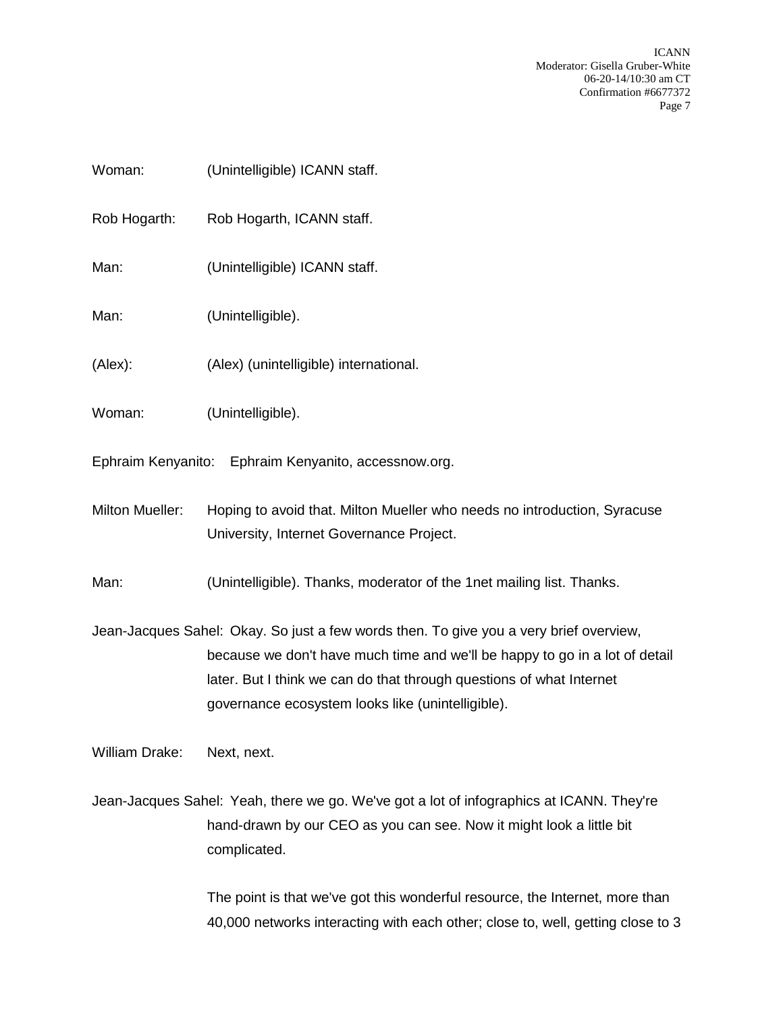ICANN Moderator: Gisella Gruber-White 06-20-14/10:30 am CT Confirmation #6677372 Page 7

| Woman:                                               | (Unintelligible) ICANN staff.                                                                                                                                                                                                                                                                      |
|------------------------------------------------------|----------------------------------------------------------------------------------------------------------------------------------------------------------------------------------------------------------------------------------------------------------------------------------------------------|
| Rob Hogarth:                                         | Rob Hogarth, ICANN staff.                                                                                                                                                                                                                                                                          |
| Man:                                                 | (Unintelligible) ICANN staff.                                                                                                                                                                                                                                                                      |
| Man:                                                 | (Unintelligible).                                                                                                                                                                                                                                                                                  |
| (Alex):                                              | (Alex) (unintelligible) international.                                                                                                                                                                                                                                                             |
| Woman:                                               | (Unintelligible).                                                                                                                                                                                                                                                                                  |
| Ephraim Kenyanito: Ephraim Kenyanito, accessnow.org. |                                                                                                                                                                                                                                                                                                    |
| Milton Mueller:                                      | Hoping to avoid that. Milton Mueller who needs no introduction, Syracuse<br>University, Internet Governance Project.                                                                                                                                                                               |
| Man:                                                 | (Unintelligible). Thanks, moderator of the 1net mailing list. Thanks.                                                                                                                                                                                                                              |
|                                                      | Jean-Jacques Sahel: Okay. So just a few words then. To give you a very brief overview,<br>because we don't have much time and we'll be happy to go in a lot of detail<br>later. But I think we can do that through questions of what Internet<br>governance ecosystem looks like (unintelligible). |
| William Drake:                                       | Next, next.                                                                                                                                                                                                                                                                                        |
|                                                      | Jean-Jacques Sahel: Yeah, there we go. We've got a lot of infographics at ICANN. They're<br>hand-drawn by our CEO as you can see. Now it might look a little bit<br>complicated.                                                                                                                   |

The point is that we've got this wonderful resource, the Internet, more than 40,000 networks interacting with each other; close to, well, getting close to 3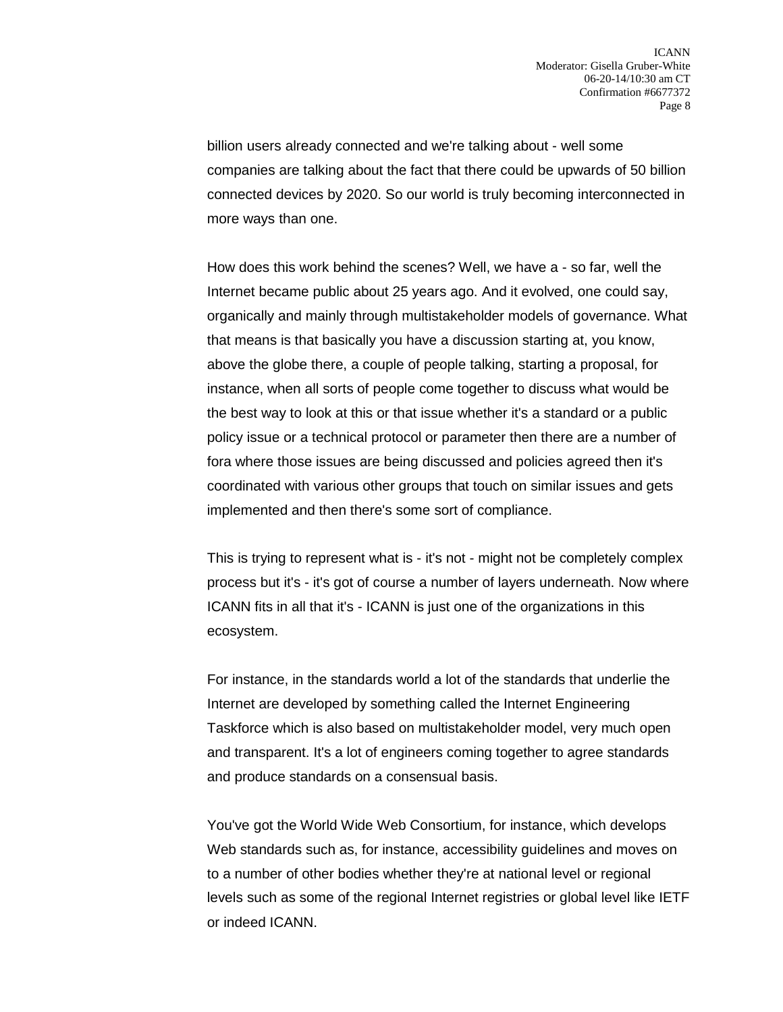billion users already connected and we're talking about - well some companies are talking about the fact that there could be upwards of 50 billion connected devices by 2020. So our world is truly becoming interconnected in more ways than one.

How does this work behind the scenes? Well, we have a - so far, well the Internet became public about 25 years ago. And it evolved, one could say, organically and mainly through multistakeholder models of governance. What that means is that basically you have a discussion starting at, you know, above the globe there, a couple of people talking, starting a proposal, for instance, when all sorts of people come together to discuss what would be the best way to look at this or that issue whether it's a standard or a public policy issue or a technical protocol or parameter then there are a number of fora where those issues are being discussed and policies agreed then it's coordinated with various other groups that touch on similar issues and gets implemented and then there's some sort of compliance.

This is trying to represent what is - it's not - might not be completely complex process but it's - it's got of course a number of layers underneath. Now where ICANN fits in all that it's - ICANN is just one of the organizations in this ecosystem.

For instance, in the standards world a lot of the standards that underlie the Internet are developed by something called the Internet Engineering Taskforce which is also based on multistakeholder model, very much open and transparent. It's a lot of engineers coming together to agree standards and produce standards on a consensual basis.

You've got the World Wide Web Consortium, for instance, which develops Web standards such as, for instance, accessibility guidelines and moves on to a number of other bodies whether they're at national level or regional levels such as some of the regional Internet registries or global level like IETF or indeed ICANN.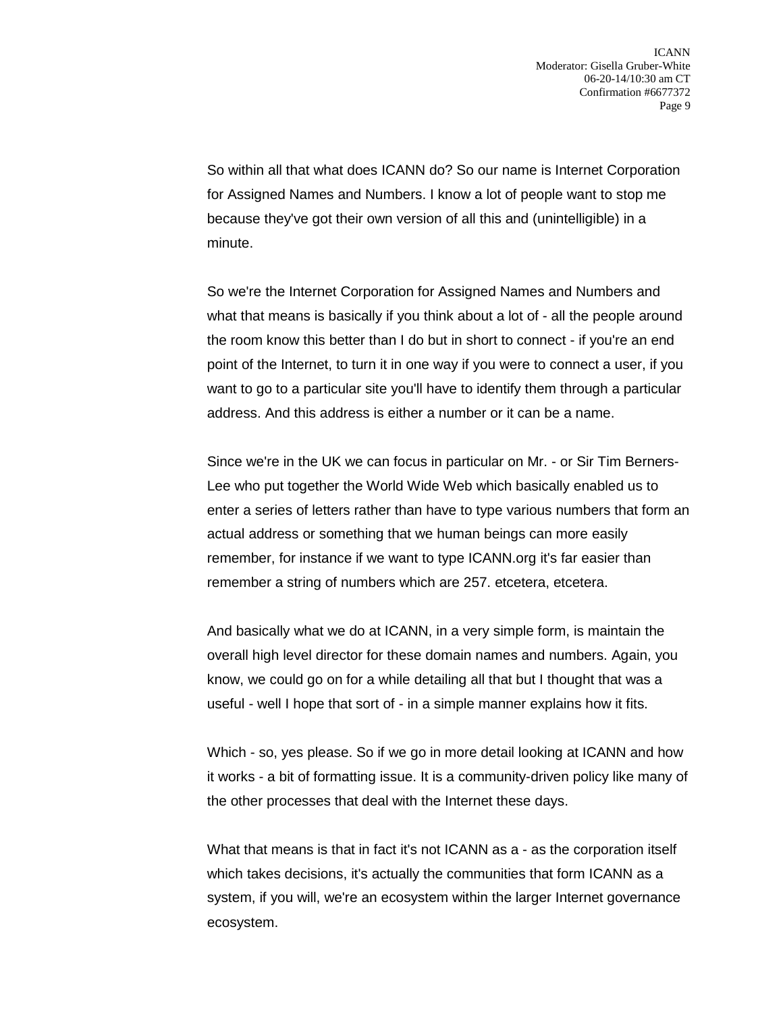So within all that what does ICANN do? So our name is Internet Corporation for Assigned Names and Numbers. I know a lot of people want to stop me because they've got their own version of all this and (unintelligible) in a minute.

So we're the Internet Corporation for Assigned Names and Numbers and what that means is basically if you think about a lot of - all the people around the room know this better than I do but in short to connect - if you're an end point of the Internet, to turn it in one way if you were to connect a user, if you want to go to a particular site you'll have to identify them through a particular address. And this address is either a number or it can be a name.

Since we're in the UK we can focus in particular on Mr. - or Sir Tim Berners-Lee who put together the World Wide Web which basically enabled us to enter a series of letters rather than have to type various numbers that form an actual address or something that we human beings can more easily remember, for instance if we want to type ICANN.org it's far easier than remember a string of numbers which are 257. etcetera, etcetera.

And basically what we do at ICANN, in a very simple form, is maintain the overall high level director for these domain names and numbers. Again, you know, we could go on for a while detailing all that but I thought that was a useful - well I hope that sort of - in a simple manner explains how it fits.

Which - so, yes please. So if we go in more detail looking at ICANN and how it works - a bit of formatting issue. It is a community-driven policy like many of the other processes that deal with the Internet these days.

What that means is that in fact it's not ICANN as a - as the corporation itself which takes decisions, it's actually the communities that form ICANN as a system, if you will, we're an ecosystem within the larger Internet governance ecosystem.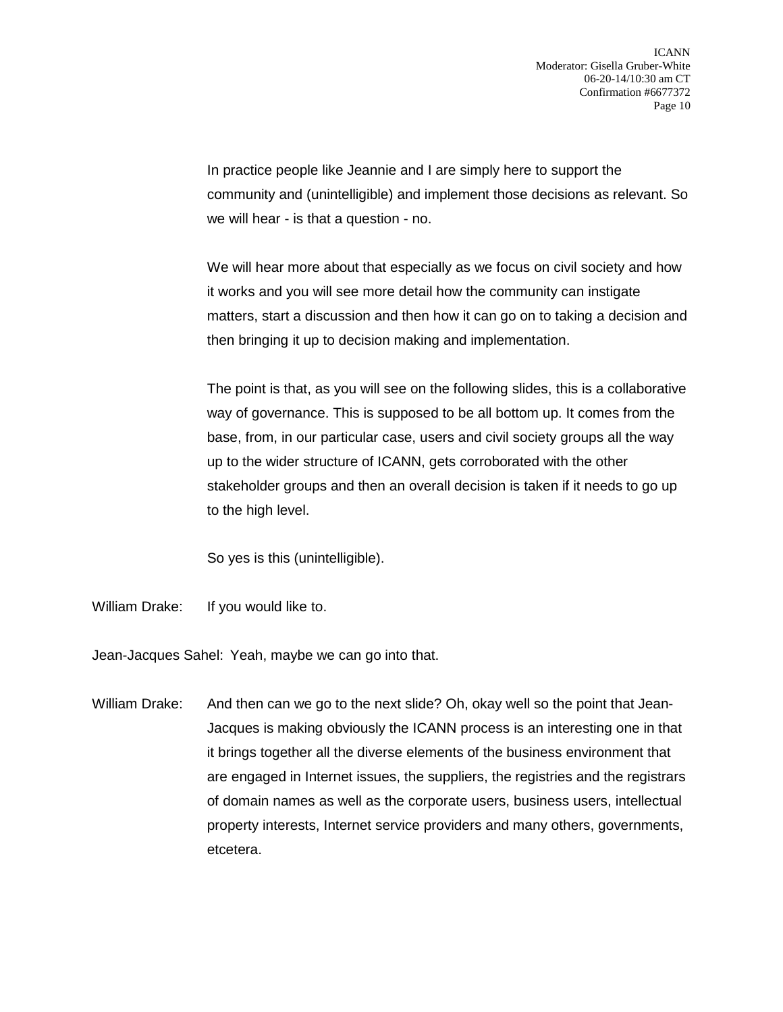In practice people like Jeannie and I are simply here to support the community and (unintelligible) and implement those decisions as relevant. So we will hear - is that a question - no.

We will hear more about that especially as we focus on civil society and how it works and you will see more detail how the community can instigate matters, start a discussion and then how it can go on to taking a decision and then bringing it up to decision making and implementation.

The point is that, as you will see on the following slides, this is a collaborative way of governance. This is supposed to be all bottom up. It comes from the base, from, in our particular case, users and civil society groups all the way up to the wider structure of ICANN, gets corroborated with the other stakeholder groups and then an overall decision is taken if it needs to go up to the high level.

So yes is this (unintelligible).

William Drake: If you would like to.

Jean-Jacques Sahel: Yeah, maybe we can go into that.

William Drake: And then can we go to the next slide? Oh, okay well so the point that Jean-Jacques is making obviously the ICANN process is an interesting one in that it brings together all the diverse elements of the business environment that are engaged in Internet issues, the suppliers, the registries and the registrars of domain names as well as the corporate users, business users, intellectual property interests, Internet service providers and many others, governments, etcetera.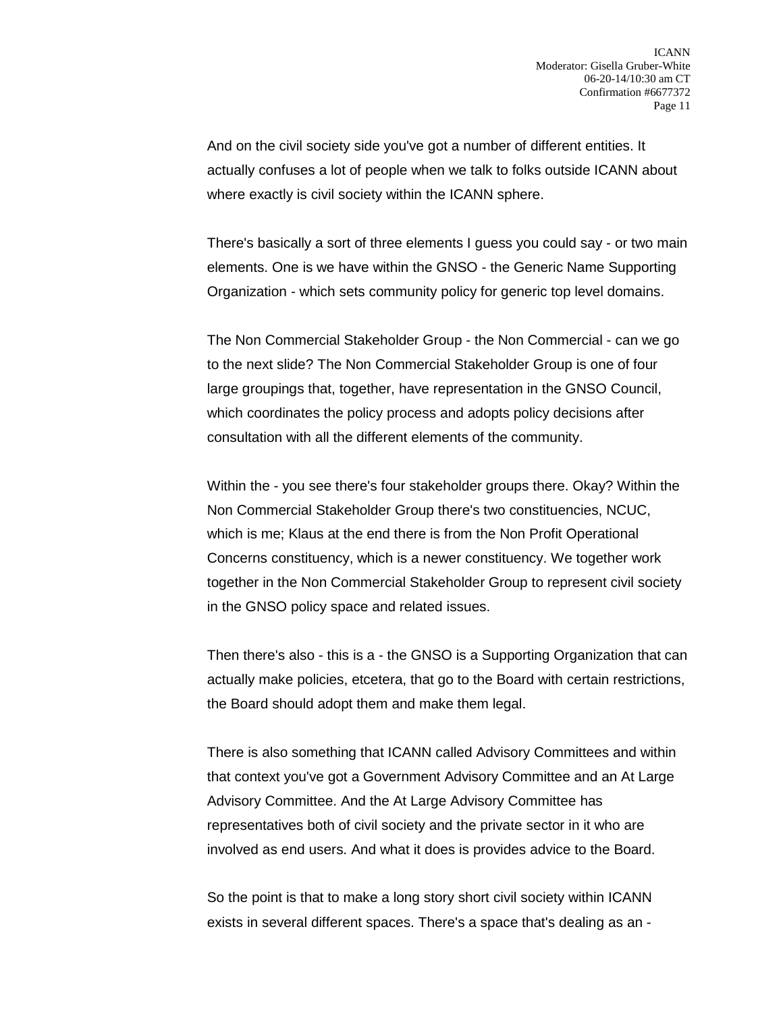And on the civil society side you've got a number of different entities. It actually confuses a lot of people when we talk to folks outside ICANN about where exactly is civil society within the ICANN sphere.

There's basically a sort of three elements I guess you could say - or two main elements. One is we have within the GNSO - the Generic Name Supporting Organization - which sets community policy for generic top level domains.

The Non Commercial Stakeholder Group - the Non Commercial - can we go to the next slide? The Non Commercial Stakeholder Group is one of four large groupings that, together, have representation in the GNSO Council, which coordinates the policy process and adopts policy decisions after consultation with all the different elements of the community.

Within the - you see there's four stakeholder groups there. Okay? Within the Non Commercial Stakeholder Group there's two constituencies, NCUC, which is me; Klaus at the end there is from the Non Profit Operational Concerns constituency, which is a newer constituency. We together work together in the Non Commercial Stakeholder Group to represent civil society in the GNSO policy space and related issues.

Then there's also - this is a - the GNSO is a Supporting Organization that can actually make policies, etcetera, that go to the Board with certain restrictions, the Board should adopt them and make them legal.

There is also something that ICANN called Advisory Committees and within that context you've got a Government Advisory Committee and an At Large Advisory Committee. And the At Large Advisory Committee has representatives both of civil society and the private sector in it who are involved as end users. And what it does is provides advice to the Board.

So the point is that to make a long story short civil society within ICANN exists in several different spaces. There's a space that's dealing as an -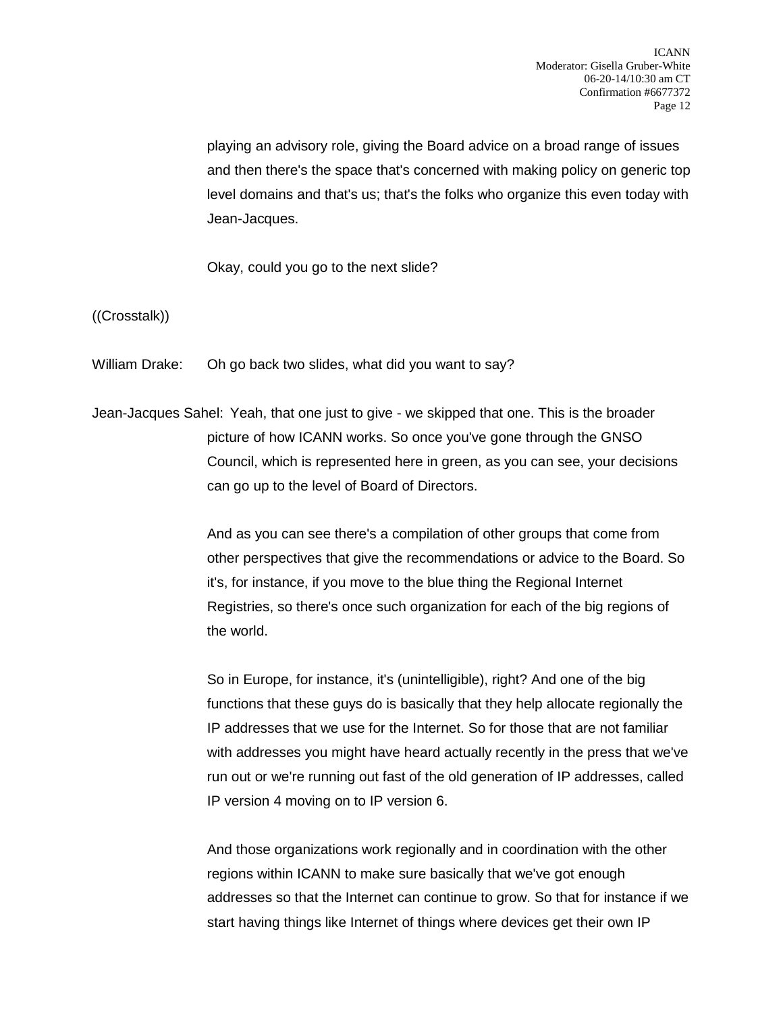playing an advisory role, giving the Board advice on a broad range of issues and then there's the space that's concerned with making policy on generic top level domains and that's us; that's the folks who organize this even today with Jean-Jacques.

Okay, could you go to the next slide?

((Crosstalk))

William Drake: Oh go back two slides, what did you want to say?

Jean-Jacques Sahel: Yeah, that one just to give - we skipped that one. This is the broader picture of how ICANN works. So once you've gone through the GNSO Council, which is represented here in green, as you can see, your decisions can go up to the level of Board of Directors.

> And as you can see there's a compilation of other groups that come from other perspectives that give the recommendations or advice to the Board. So it's, for instance, if you move to the blue thing the Regional Internet Registries, so there's once such organization for each of the big regions of the world.

> So in Europe, for instance, it's (unintelligible), right? And one of the big functions that these guys do is basically that they help allocate regionally the IP addresses that we use for the Internet. So for those that are not familiar with addresses you might have heard actually recently in the press that we've run out or we're running out fast of the old generation of IP addresses, called IP version 4 moving on to IP version 6.

> And those organizations work regionally and in coordination with the other regions within ICANN to make sure basically that we've got enough addresses so that the Internet can continue to grow. So that for instance if we start having things like Internet of things where devices get their own IP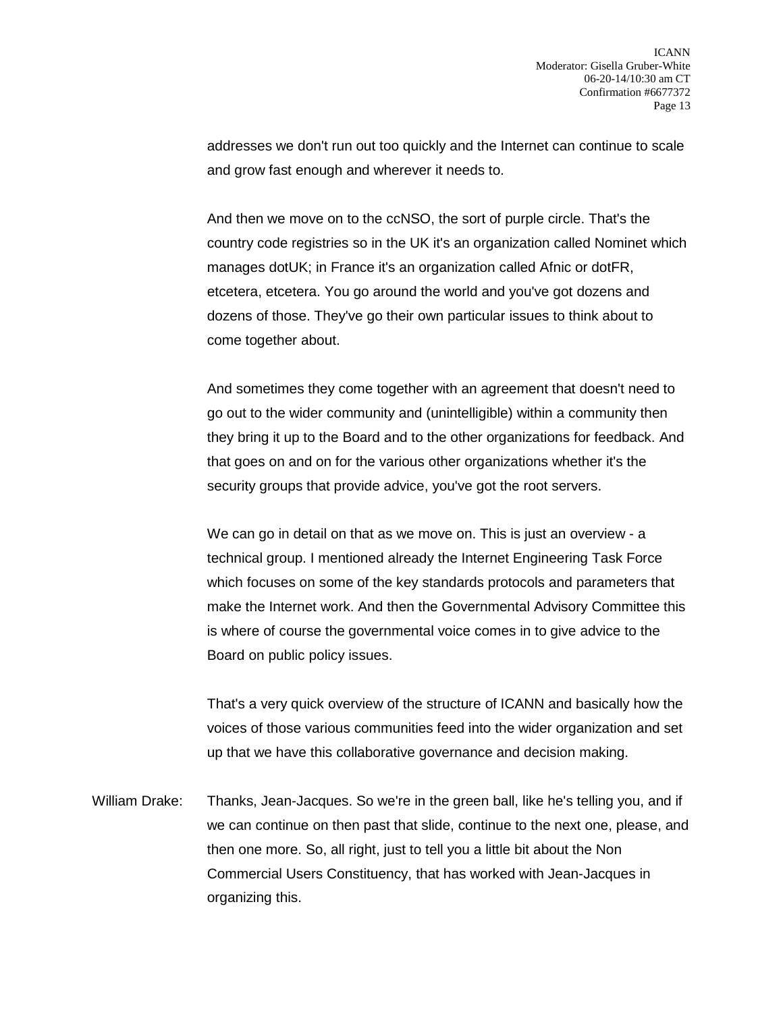addresses we don't run out too quickly and the Internet can continue to scale and grow fast enough and wherever it needs to.

And then we move on to the ccNSO, the sort of purple circle. That's the country code registries so in the UK it's an organization called Nominet which manages dotUK; in France it's an organization called Afnic or dotFR, etcetera, etcetera. You go around the world and you've got dozens and dozens of those. They've go their own particular issues to think about to come together about.

And sometimes they come together with an agreement that doesn't need to go out to the wider community and (unintelligible) within a community then they bring it up to the Board and to the other organizations for feedback. And that goes on and on for the various other organizations whether it's the security groups that provide advice, you've got the root servers.

We can go in detail on that as we move on. This is just an overview - a technical group. I mentioned already the Internet Engineering Task Force which focuses on some of the key standards protocols and parameters that make the Internet work. And then the Governmental Advisory Committee this is where of course the governmental voice comes in to give advice to the Board on public policy issues.

That's a very quick overview of the structure of ICANN and basically how the voices of those various communities feed into the wider organization and set up that we have this collaborative governance and decision making.

William Drake: Thanks, Jean-Jacques. So we're in the green ball, like he's telling you, and if we can continue on then past that slide, continue to the next one, please, and then one more. So, all right, just to tell you a little bit about the Non Commercial Users Constituency, that has worked with Jean-Jacques in organizing this.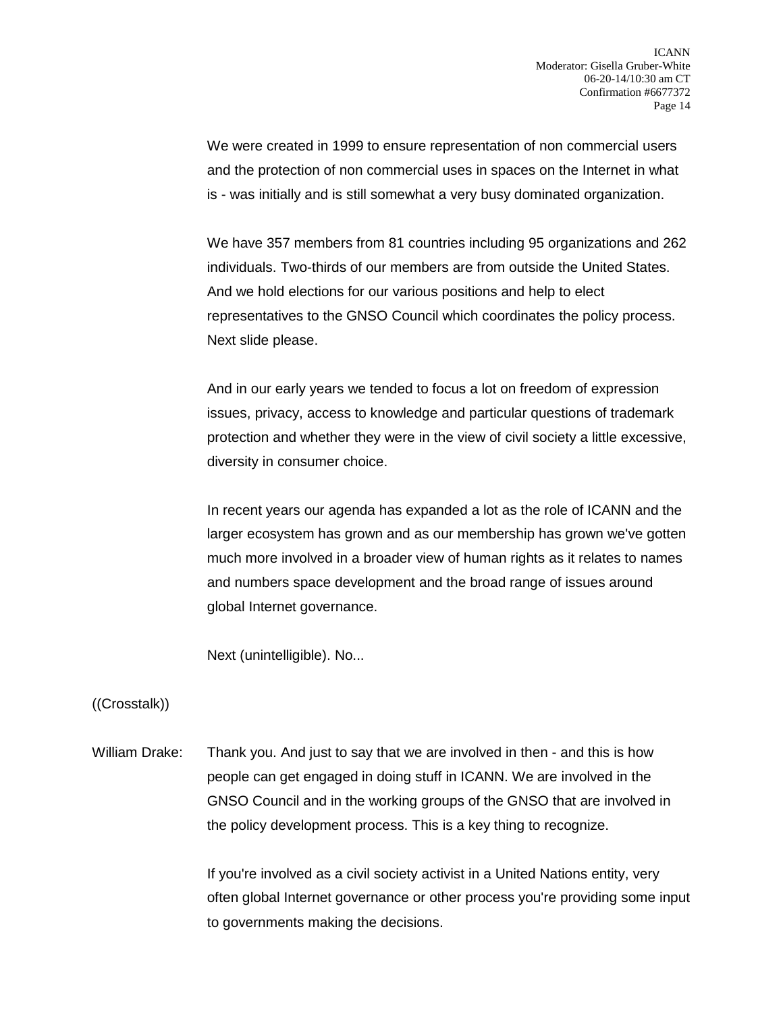We were created in 1999 to ensure representation of non commercial users and the protection of non commercial uses in spaces on the Internet in what is - was initially and is still somewhat a very busy dominated organization.

We have 357 members from 81 countries including 95 organizations and 262 individuals. Two-thirds of our members are from outside the United States. And we hold elections for our various positions and help to elect representatives to the GNSO Council which coordinates the policy process. Next slide please.

And in our early years we tended to focus a lot on freedom of expression issues, privacy, access to knowledge and particular questions of trademark protection and whether they were in the view of civil society a little excessive, diversity in consumer choice.

In recent years our agenda has expanded a lot as the role of ICANN and the larger ecosystem has grown and as our membership has grown we've gotten much more involved in a broader view of human rights as it relates to names and numbers space development and the broad range of issues around global Internet governance.

Next (unintelligible). No...

## ((Crosstalk))

William Drake: Thank you. And just to say that we are involved in then - and this is how people can get engaged in doing stuff in ICANN. We are involved in the GNSO Council and in the working groups of the GNSO that are involved in the policy development process. This is a key thing to recognize.

> If you're involved as a civil society activist in a United Nations entity, very often global Internet governance or other process you're providing some input to governments making the decisions.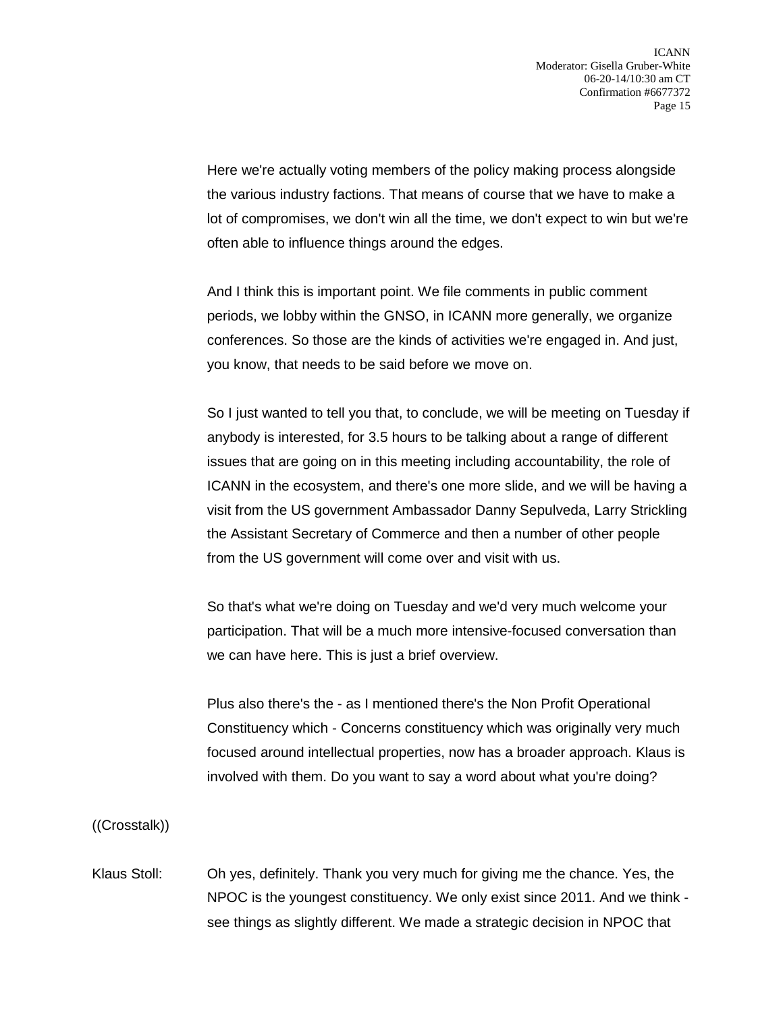Here we're actually voting members of the policy making process alongside the various industry factions. That means of course that we have to make a lot of compromises, we don't win all the time, we don't expect to win but we're often able to influence things around the edges.

And I think this is important point. We file comments in public comment periods, we lobby within the GNSO, in ICANN more generally, we organize conferences. So those are the kinds of activities we're engaged in. And just, you know, that needs to be said before we move on.

So I just wanted to tell you that, to conclude, we will be meeting on Tuesday if anybody is interested, for 3.5 hours to be talking about a range of different issues that are going on in this meeting including accountability, the role of ICANN in the ecosystem, and there's one more slide, and we will be having a visit from the US government Ambassador Danny Sepulveda, Larry Strickling the Assistant Secretary of Commerce and then a number of other people from the US government will come over and visit with us.

So that's what we're doing on Tuesday and we'd very much welcome your participation. That will be a much more intensive-focused conversation than we can have here. This is just a brief overview.

Plus also there's the - as I mentioned there's the Non Profit Operational Constituency which - Concerns constituency which was originally very much focused around intellectual properties, now has a broader approach. Klaus is involved with them. Do you want to say a word about what you're doing?

((Crosstalk))

Klaus Stoll: Oh yes, definitely. Thank you very much for giving me the chance. Yes, the NPOC is the youngest constituency. We only exist since 2011. And we think see things as slightly different. We made a strategic decision in NPOC that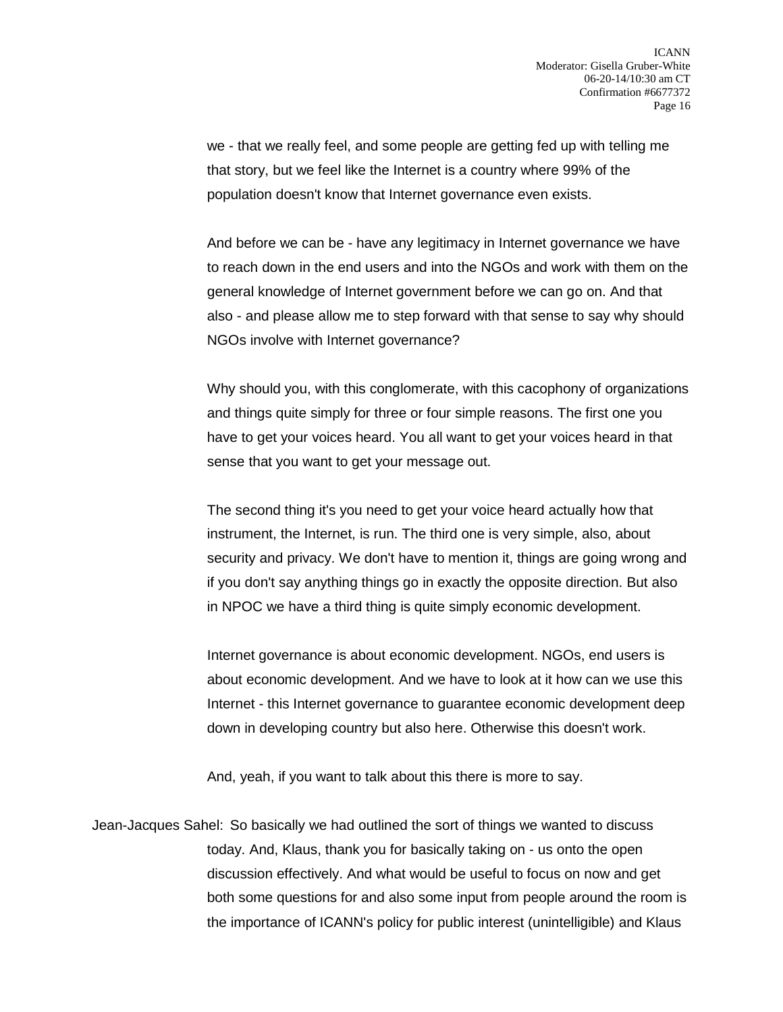we - that we really feel, and some people are getting fed up with telling me that story, but we feel like the Internet is a country where 99% of the population doesn't know that Internet governance even exists.

And before we can be - have any legitimacy in Internet governance we have to reach down in the end users and into the NGOs and work with them on the general knowledge of Internet government before we can go on. And that also - and please allow me to step forward with that sense to say why should NGOs involve with Internet governance?

Why should you, with this conglomerate, with this cacophony of organizations and things quite simply for three or four simple reasons. The first one you have to get your voices heard. You all want to get your voices heard in that sense that you want to get your message out.

The second thing it's you need to get your voice heard actually how that instrument, the Internet, is run. The third one is very simple, also, about security and privacy. We don't have to mention it, things are going wrong and if you don't say anything things go in exactly the opposite direction. But also in NPOC we have a third thing is quite simply economic development.

Internet governance is about economic development. NGOs, end users is about economic development. And we have to look at it how can we use this Internet - this Internet governance to guarantee economic development deep down in developing country but also here. Otherwise this doesn't work.

And, yeah, if you want to talk about this there is more to say.

Jean-Jacques Sahel: So basically we had outlined the sort of things we wanted to discuss today. And, Klaus, thank you for basically taking on - us onto the open discussion effectively. And what would be useful to focus on now and get both some questions for and also some input from people around the room is the importance of ICANN's policy for public interest (unintelligible) and Klaus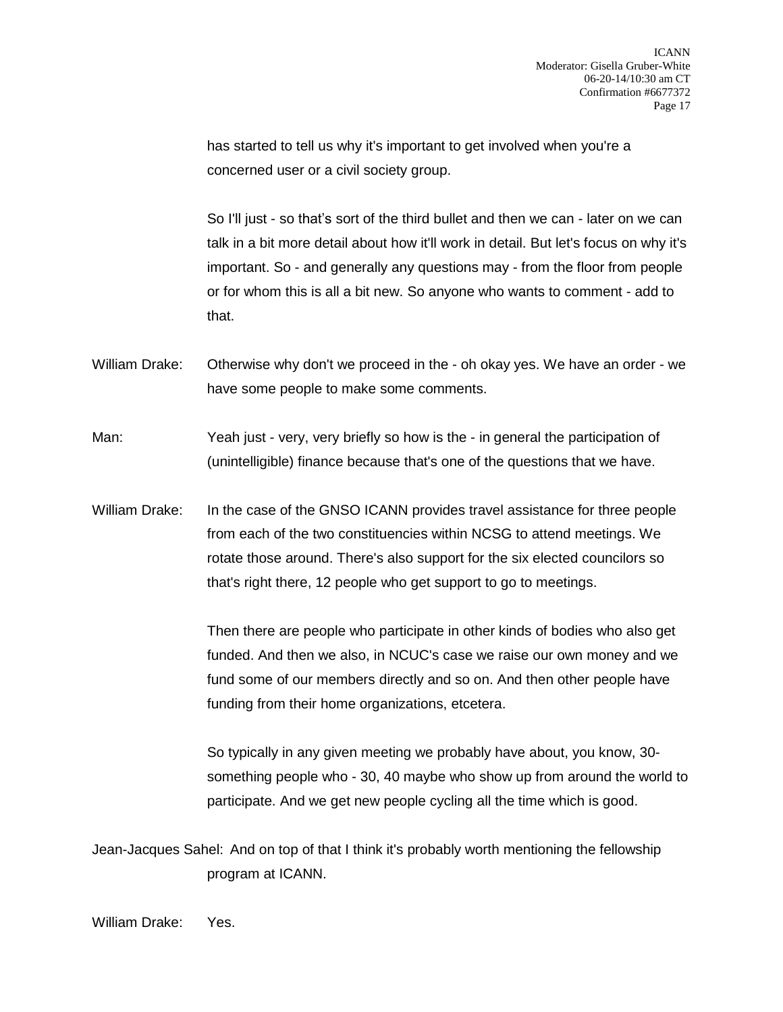has started to tell us why it's important to get involved when you're a concerned user or a civil society group.

So I'll just - so that's sort of the third bullet and then we can - later on we can talk in a bit more detail about how it'll work in detail. But let's focus on why it's important. So - and generally any questions may - from the floor from people or for whom this is all a bit new. So anyone who wants to comment - add to that.

William Drake: Otherwise why don't we proceed in the - oh okay yes. We have an order - we have some people to make some comments.

Man: Yeah just - very, very briefly so how is the - in general the participation of (unintelligible) finance because that's one of the questions that we have.

William Drake: In the case of the GNSO ICANN provides travel assistance for three people from each of the two constituencies within NCSG to attend meetings. We rotate those around. There's also support for the six elected councilors so that's right there, 12 people who get support to go to meetings.

> Then there are people who participate in other kinds of bodies who also get funded. And then we also, in NCUC's case we raise our own money and we fund some of our members directly and so on. And then other people have funding from their home organizations, etcetera.

So typically in any given meeting we probably have about, you know, 30 something people who - 30, 40 maybe who show up from around the world to participate. And we get new people cycling all the time which is good.

Jean-Jacques Sahel: And on top of that I think it's probably worth mentioning the fellowship program at ICANN.

William Drake: Yes.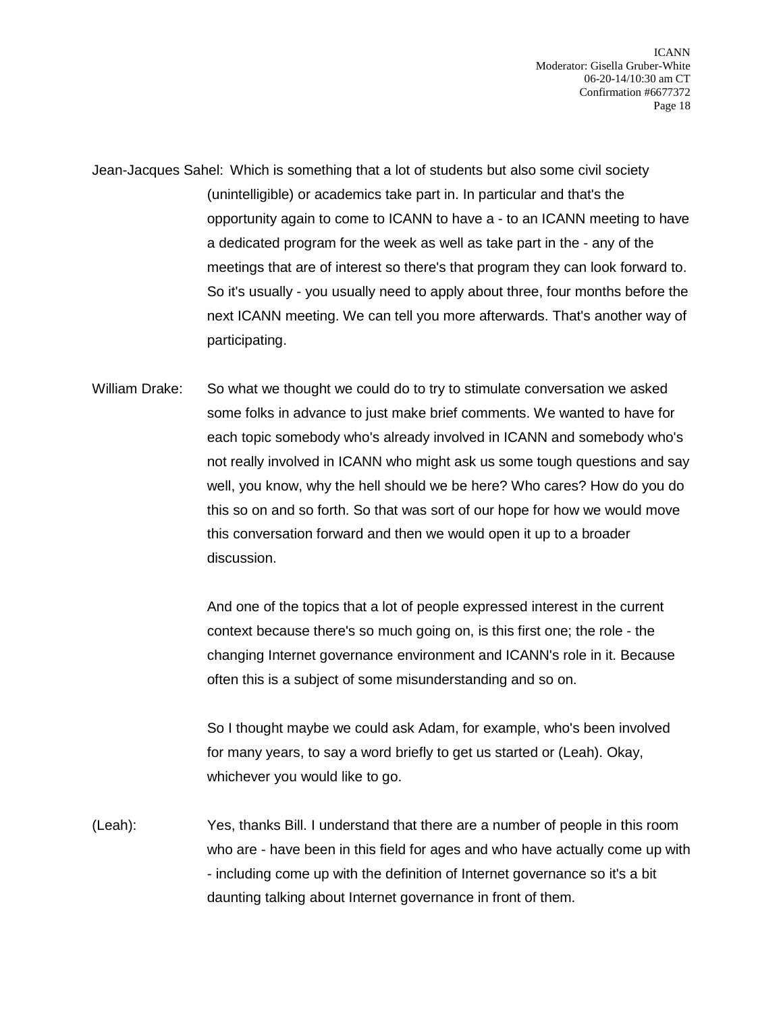Jean-Jacques Sahel: Which is something that a lot of students but also some civil society (unintelligible) or academics take part in. In particular and that's the opportunity again to come to ICANN to have a - to an ICANN meeting to have a dedicated program for the week as well as take part in the - any of the meetings that are of interest so there's that program they can look forward to. So it's usually - you usually need to apply about three, four months before the next ICANN meeting. We can tell you more afterwards. That's another way of participating.

William Drake: So what we thought we could do to try to stimulate conversation we asked some folks in advance to just make brief comments. We wanted to have for each topic somebody who's already involved in ICANN and somebody who's not really involved in ICANN who might ask us some tough questions and say well, you know, why the hell should we be here? Who cares? How do you do this so on and so forth. So that was sort of our hope for how we would move this conversation forward and then we would open it up to a broader discussion.

> And one of the topics that a lot of people expressed interest in the current context because there's so much going on, is this first one; the role - the changing Internet governance environment and ICANN's role in it. Because often this is a subject of some misunderstanding and so on.

> So I thought maybe we could ask Adam, for example, who's been involved for many years, to say a word briefly to get us started or (Leah). Okay, whichever you would like to go.

(Leah): Yes, thanks Bill. I understand that there are a number of people in this room who are - have been in this field for ages and who have actually come up with - including come up with the definition of Internet governance so it's a bit daunting talking about Internet governance in front of them.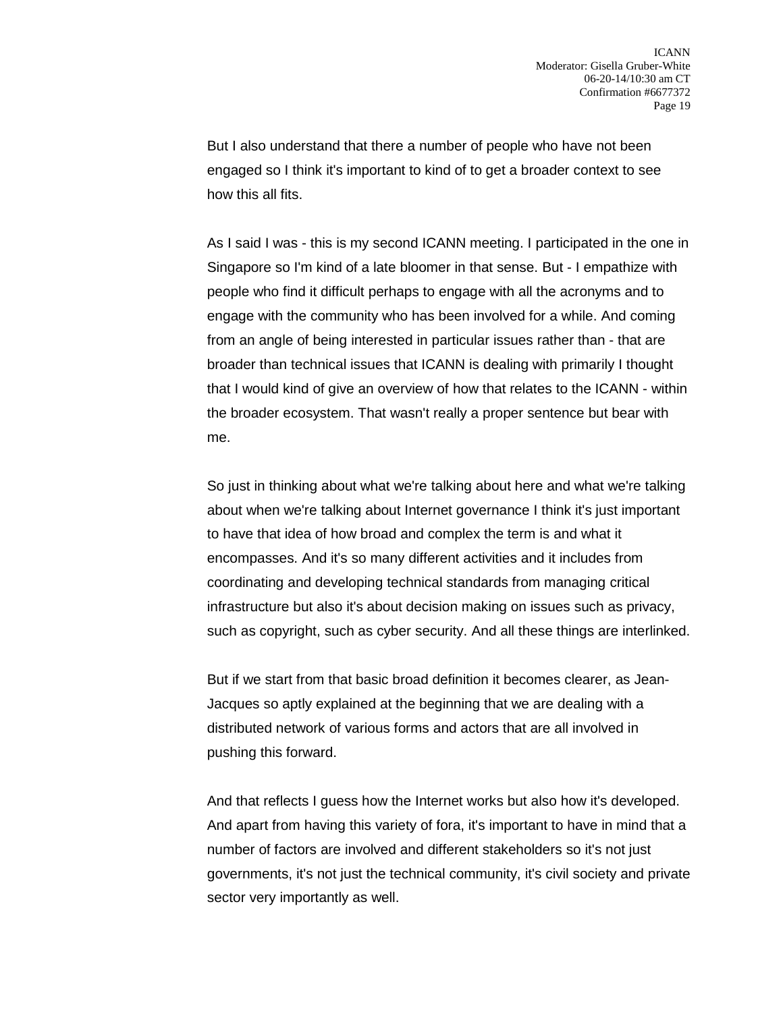But I also understand that there a number of people who have not been engaged so I think it's important to kind of to get a broader context to see how this all fits.

As I said I was - this is my second ICANN meeting. I participated in the one in Singapore so I'm kind of a late bloomer in that sense. But - I empathize with people who find it difficult perhaps to engage with all the acronyms and to engage with the community who has been involved for a while. And coming from an angle of being interested in particular issues rather than - that are broader than technical issues that ICANN is dealing with primarily I thought that I would kind of give an overview of how that relates to the ICANN - within the broader ecosystem. That wasn't really a proper sentence but bear with me.

So just in thinking about what we're talking about here and what we're talking about when we're talking about Internet governance I think it's just important to have that idea of how broad and complex the term is and what it encompasses. And it's so many different activities and it includes from coordinating and developing technical standards from managing critical infrastructure but also it's about decision making on issues such as privacy, such as copyright, such as cyber security. And all these things are interlinked.

But if we start from that basic broad definition it becomes clearer, as Jean-Jacques so aptly explained at the beginning that we are dealing with a distributed network of various forms and actors that are all involved in pushing this forward.

And that reflects I guess how the Internet works but also how it's developed. And apart from having this variety of fora, it's important to have in mind that a number of factors are involved and different stakeholders so it's not just governments, it's not just the technical community, it's civil society and private sector very importantly as well.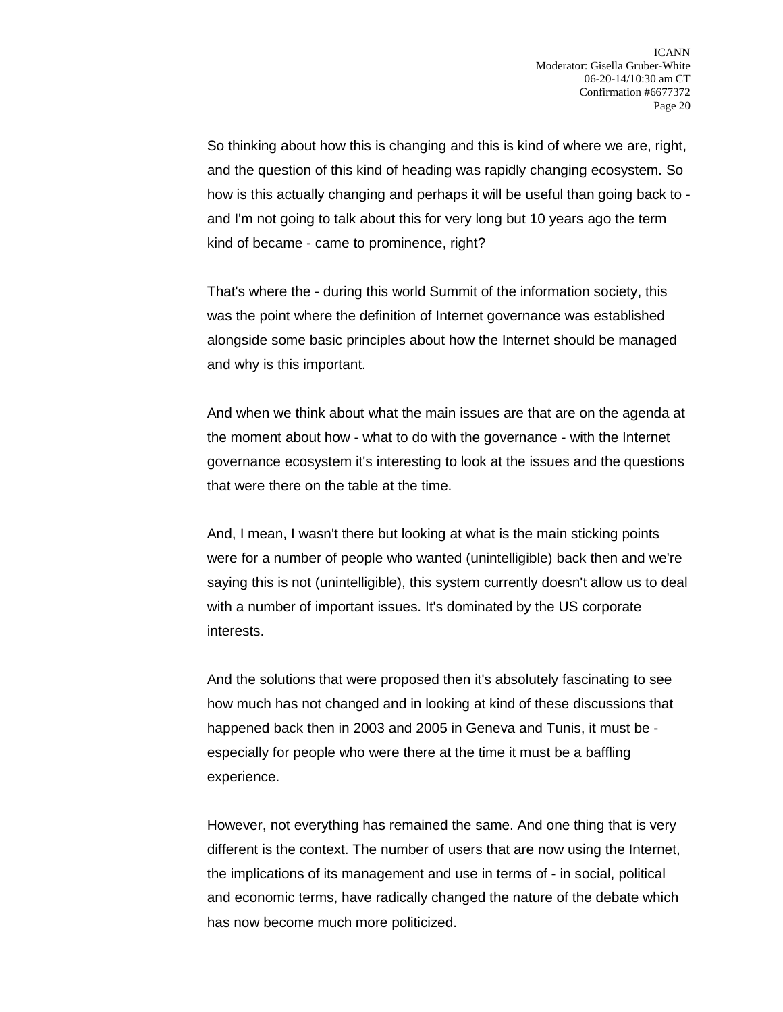So thinking about how this is changing and this is kind of where we are, right, and the question of this kind of heading was rapidly changing ecosystem. So how is this actually changing and perhaps it will be useful than going back to and I'm not going to talk about this for very long but 10 years ago the term kind of became - came to prominence, right?

That's where the - during this world Summit of the information society, this was the point where the definition of Internet governance was established alongside some basic principles about how the Internet should be managed and why is this important.

And when we think about what the main issues are that are on the agenda at the moment about how - what to do with the governance - with the Internet governance ecosystem it's interesting to look at the issues and the questions that were there on the table at the time.

And, I mean, I wasn't there but looking at what is the main sticking points were for a number of people who wanted (unintelligible) back then and we're saying this is not (unintelligible), this system currently doesn't allow us to deal with a number of important issues. It's dominated by the US corporate interests.

And the solutions that were proposed then it's absolutely fascinating to see how much has not changed and in looking at kind of these discussions that happened back then in 2003 and 2005 in Geneva and Tunis, it must be especially for people who were there at the time it must be a baffling experience.

However, not everything has remained the same. And one thing that is very different is the context. The number of users that are now using the Internet, the implications of its management and use in terms of - in social, political and economic terms, have radically changed the nature of the debate which has now become much more politicized.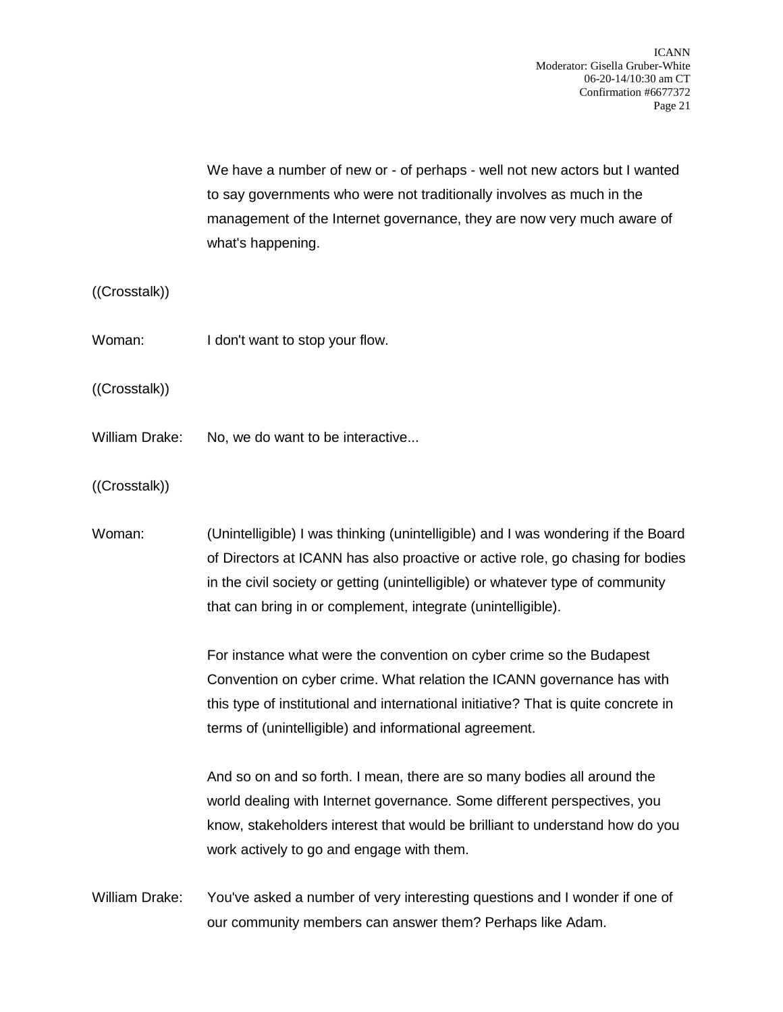We have a number of new or - of perhaps - well not new actors but I wanted to say governments who were not traditionally involves as much in the management of the Internet governance, they are now very much aware of what's happening.

## ((Crosstalk))

Woman: I don't want to stop your flow.

((Crosstalk))

- William Drake: No, we do want to be interactive...
- ((Crosstalk))

Woman: (Unintelligible) I was thinking (unintelligible) and I was wondering if the Board of Directors at ICANN has also proactive or active role, go chasing for bodies in the civil society or getting (unintelligible) or whatever type of community that can bring in or complement, integrate (unintelligible).

> For instance what were the convention on cyber crime so the Budapest Convention on cyber crime. What relation the ICANN governance has with this type of institutional and international initiative? That is quite concrete in terms of (unintelligible) and informational agreement.

And so on and so forth. I mean, there are so many bodies all around the world dealing with Internet governance. Some different perspectives, you know, stakeholders interest that would be brilliant to understand how do you work actively to go and engage with them.

William Drake: You've asked a number of very interesting questions and I wonder if one of our community members can answer them? Perhaps like Adam.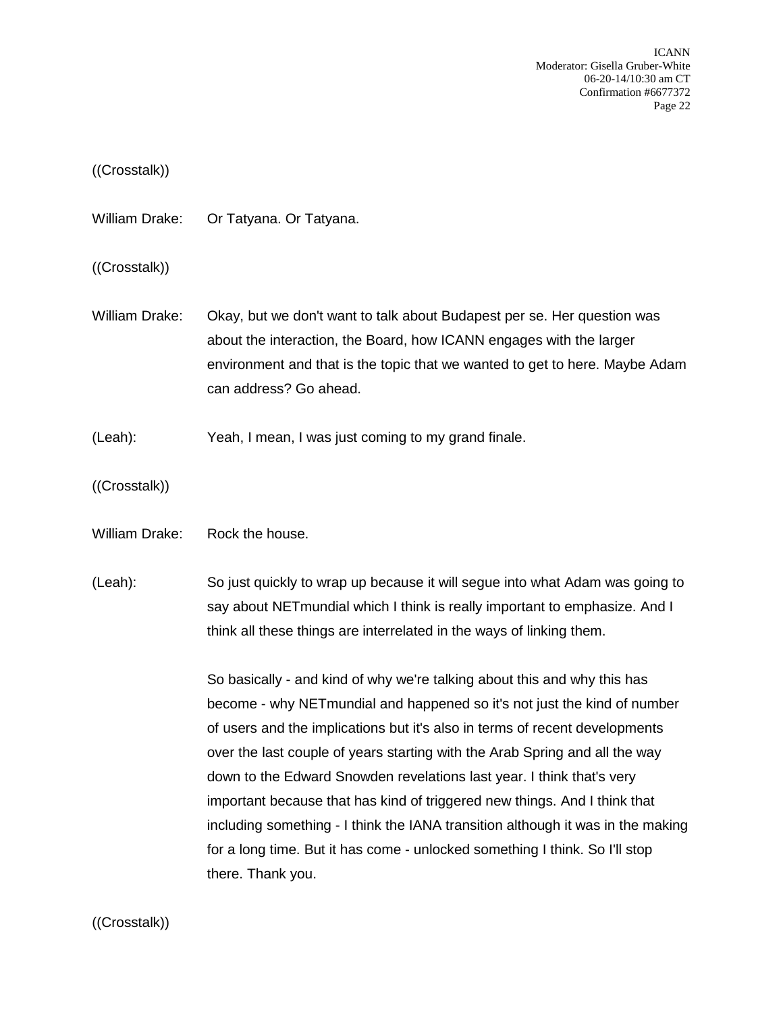ICANN Moderator: Gisella Gruber-White 06-20-14/10:30 am CT Confirmation #6677372 Page 22

## ((Crosstalk))

William Drake: Or Tatyana. Or Tatyana.

((Crosstalk))

- William Drake: Okay, but we don't want to talk about Budapest per se. Her question was about the interaction, the Board, how ICANN engages with the larger environment and that is the topic that we wanted to get to here. Maybe Adam can address? Go ahead.
- (Leah): Yeah, I mean, I was just coming to my grand finale.
- ((Crosstalk))
- William Drake: Rock the house.
- (Leah): So just quickly to wrap up because it will segue into what Adam was going to say about NETmundial which I think is really important to emphasize. And I think all these things are interrelated in the ways of linking them.

So basically - and kind of why we're talking about this and why this has become - why NETmundial and happened so it's not just the kind of number of users and the implications but it's also in terms of recent developments over the last couple of years starting with the Arab Spring and all the way down to the Edward Snowden revelations last year. I think that's very important because that has kind of triggered new things. And I think that including something - I think the IANA transition although it was in the making for a long time. But it has come - unlocked something I think. So I'll stop there. Thank you.

((Crosstalk))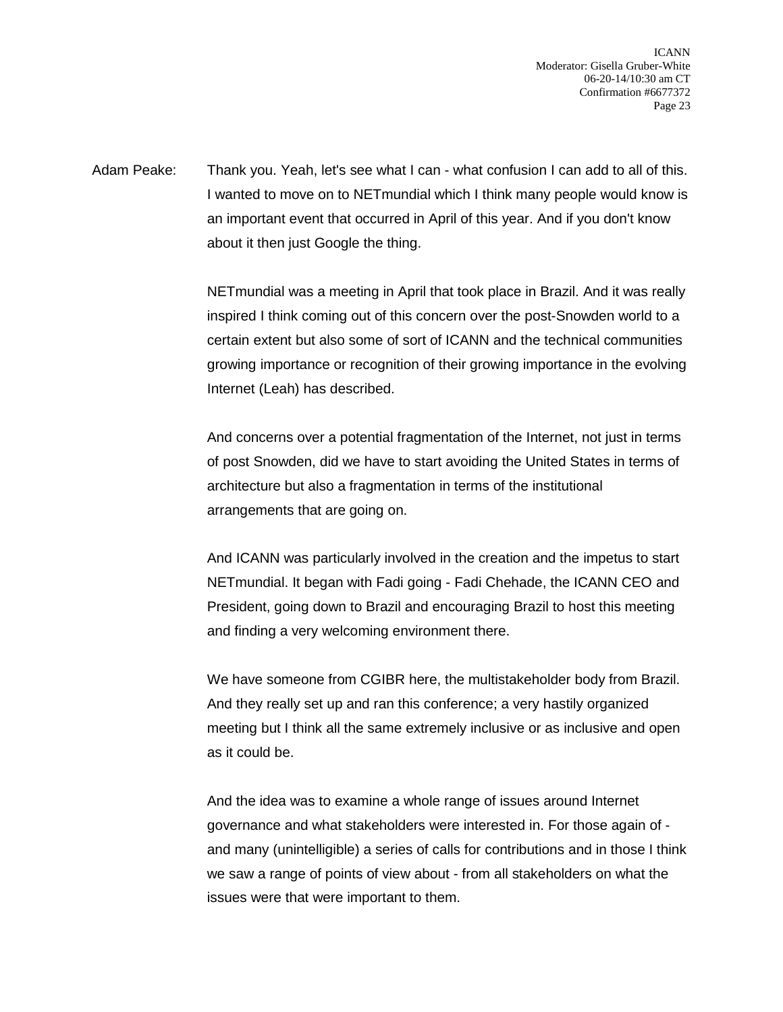ICANN Moderator: Gisella Gruber-White 06-20-14/10:30 am CT Confirmation #6677372 Page 23

Adam Peake: Thank you. Yeah, let's see what I can - what confusion I can add to all of this. I wanted to move on to NETmundial which I think many people would know is an important event that occurred in April of this year. And if you don't know about it then just Google the thing.

> NETmundial was a meeting in April that took place in Brazil. And it was really inspired I think coming out of this concern over the post-Snowden world to a certain extent but also some of sort of ICANN and the technical communities growing importance or recognition of their growing importance in the evolving Internet (Leah) has described.

And concerns over a potential fragmentation of the Internet, not just in terms of post Snowden, did we have to start avoiding the United States in terms of architecture but also a fragmentation in terms of the institutional arrangements that are going on.

And ICANN was particularly involved in the creation and the impetus to start NETmundial. It began with Fadi going - Fadi Chehade, the ICANN CEO and President, going down to Brazil and encouraging Brazil to host this meeting and finding a very welcoming environment there.

We have someone from CGIBR here, the multistakeholder body from Brazil. And they really set up and ran this conference; a very hastily organized meeting but I think all the same extremely inclusive or as inclusive and open as it could be.

And the idea was to examine a whole range of issues around Internet governance and what stakeholders were interested in. For those again of and many (unintelligible) a series of calls for contributions and in those I think we saw a range of points of view about - from all stakeholders on what the issues were that were important to them.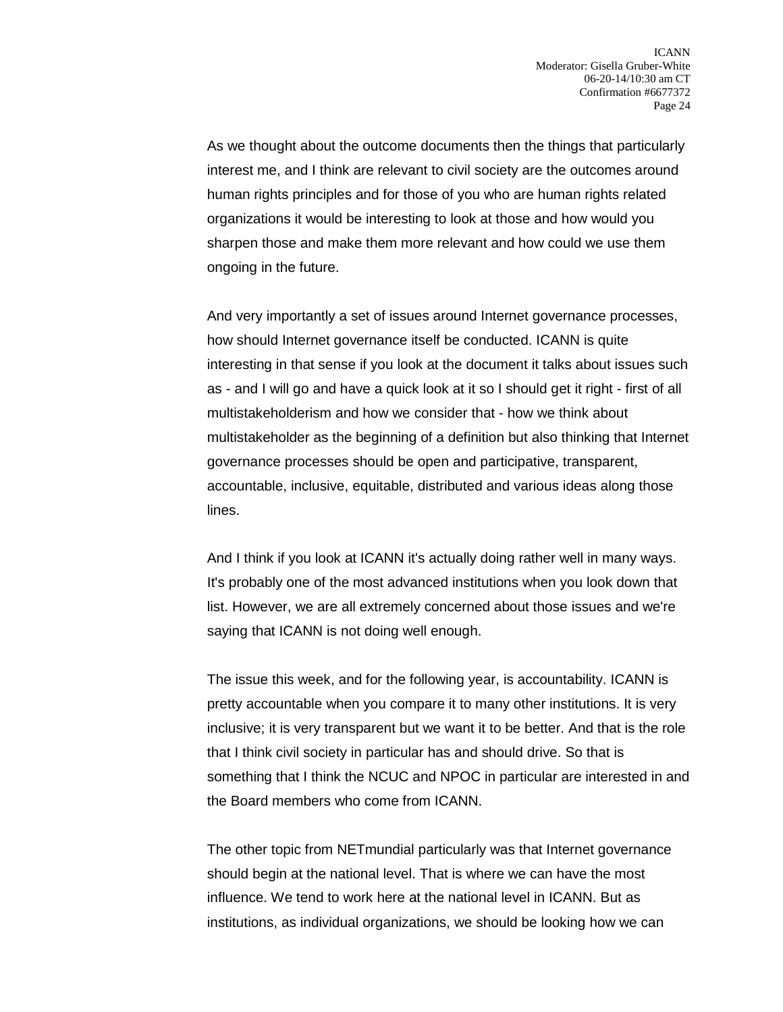As we thought about the outcome documents then the things that particularly interest me, and I think are relevant to civil society are the outcomes around human rights principles and for those of you who are human rights related organizations it would be interesting to look at those and how would you sharpen those and make them more relevant and how could we use them ongoing in the future.

And very importantly a set of issues around Internet governance processes, how should Internet governance itself be conducted. ICANN is quite interesting in that sense if you look at the document it talks about issues such as - and I will go and have a quick look at it so I should get it right - first of all multistakeholderism and how we consider that - how we think about multistakeholder as the beginning of a definition but also thinking that Internet governance processes should be open and participative, transparent, accountable, inclusive, equitable, distributed and various ideas along those lines.

And I think if you look at ICANN it's actually doing rather well in many ways. It's probably one of the most advanced institutions when you look down that list. However, we are all extremely concerned about those issues and we're saying that ICANN is not doing well enough.

The issue this week, and for the following year, is accountability. ICANN is pretty accountable when you compare it to many other institutions. It is very inclusive; it is very transparent but we want it to be better. And that is the role that I think civil society in particular has and should drive. So that is something that I think the NCUC and NPOC in particular are interested in and the Board members who come from ICANN.

The other topic from NETmundial particularly was that Internet governance should begin at the national level. That is where we can have the most influence. We tend to work here at the national level in ICANN. But as institutions, as individual organizations, we should be looking how we can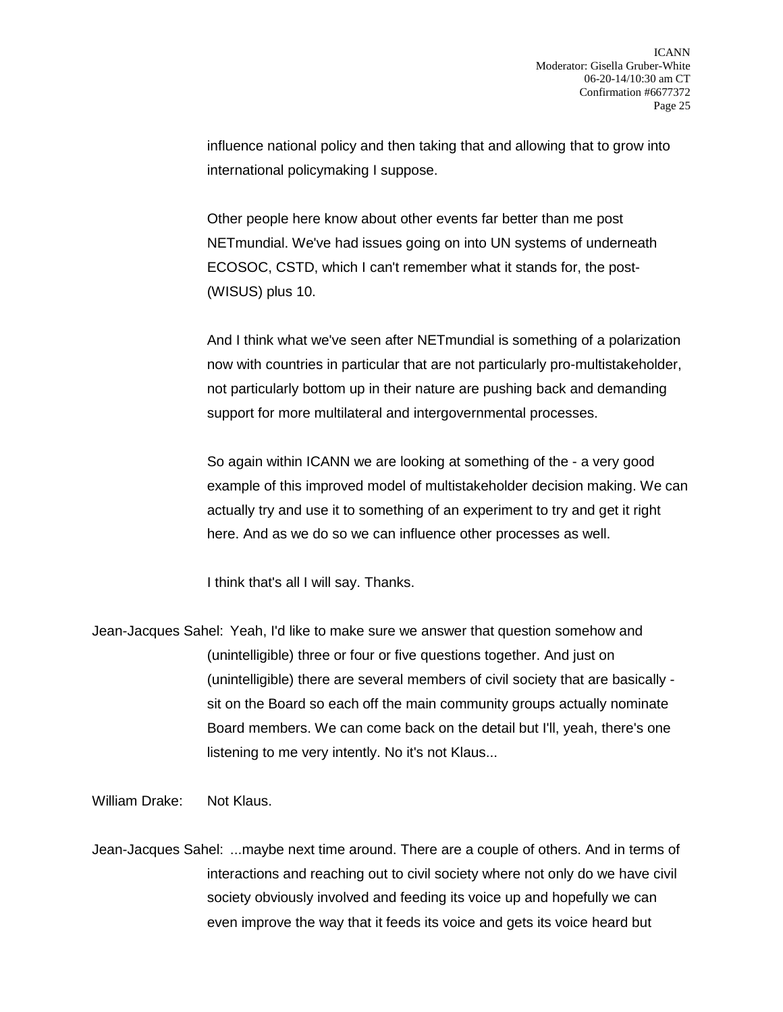influence national policy and then taking that and allowing that to grow into international policymaking I suppose.

Other people here know about other events far better than me post NETmundial. We've had issues going on into UN systems of underneath ECOSOC, CSTD, which I can't remember what it stands for, the post- (WISUS) plus 10.

And I think what we've seen after NETmundial is something of a polarization now with countries in particular that are not particularly pro-multistakeholder, not particularly bottom up in their nature are pushing back and demanding support for more multilateral and intergovernmental processes.

So again within ICANN we are looking at something of the - a very good example of this improved model of multistakeholder decision making. We can actually try and use it to something of an experiment to try and get it right here. And as we do so we can influence other processes as well.

I think that's all I will say. Thanks.

Jean-Jacques Sahel: Yeah, I'd like to make sure we answer that question somehow and (unintelligible) three or four or five questions together. And just on (unintelligible) there are several members of civil society that are basically sit on the Board so each off the main community groups actually nominate Board members. We can come back on the detail but I'll, yeah, there's one listening to me very intently. No it's not Klaus...

William Drake: Not Klaus.

Jean-Jacques Sahel: ...maybe next time around. There are a couple of others. And in terms of interactions and reaching out to civil society where not only do we have civil society obviously involved and feeding its voice up and hopefully we can even improve the way that it feeds its voice and gets its voice heard but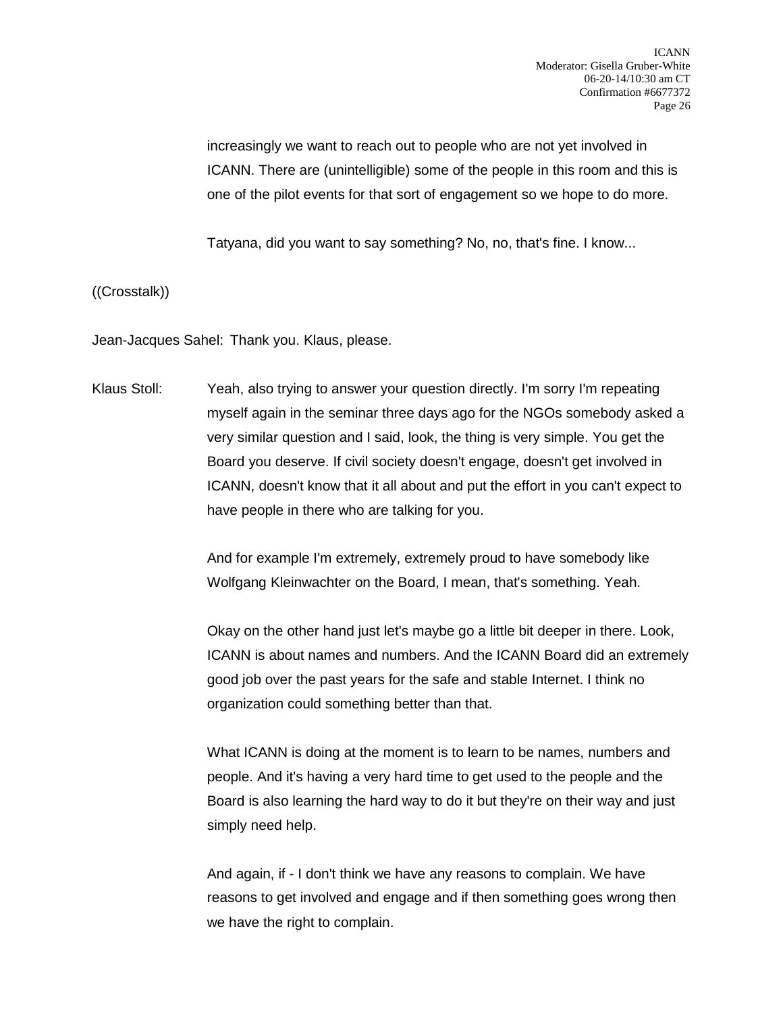increasingly we want to reach out to people who are not yet involved in ICANN. There are (unintelligible) some of the people in this room and this is one of the pilot events for that sort of engagement so we hope to do more.

Tatyana, did you want to say something? No, no, that's fine. I know...

((Crosstalk))

Jean-Jacques Sahel: Thank you. Klaus, please.

Klaus Stoll: Yeah, also trying to answer your question directly. I'm sorry I'm repeating myself again in the seminar three days ago for the NGOs somebody asked a very similar question and I said, look, the thing is very simple. You get the Board you deserve. If civil society doesn't engage, doesn't get involved in ICANN, doesn't know that it all about and put the effort in you can't expect to have people in there who are talking for you.

> And for example I'm extremely, extremely proud to have somebody like Wolfgang Kleinwachter on the Board, I mean, that's something. Yeah.

Okay on the other hand just let's maybe go a little bit deeper in there. Look, ICANN is about names and numbers. And the ICANN Board did an extremely good job over the past years for the safe and stable Internet. I think no organization could something better than that.

What ICANN is doing at the moment is to learn to be names, numbers and people. And it's having a very hard time to get used to the people and the Board is also learning the hard way to do it but they're on their way and just simply need help.

And again, if - I don't think we have any reasons to complain. We have reasons to get involved and engage and if then something goes wrong then we have the right to complain.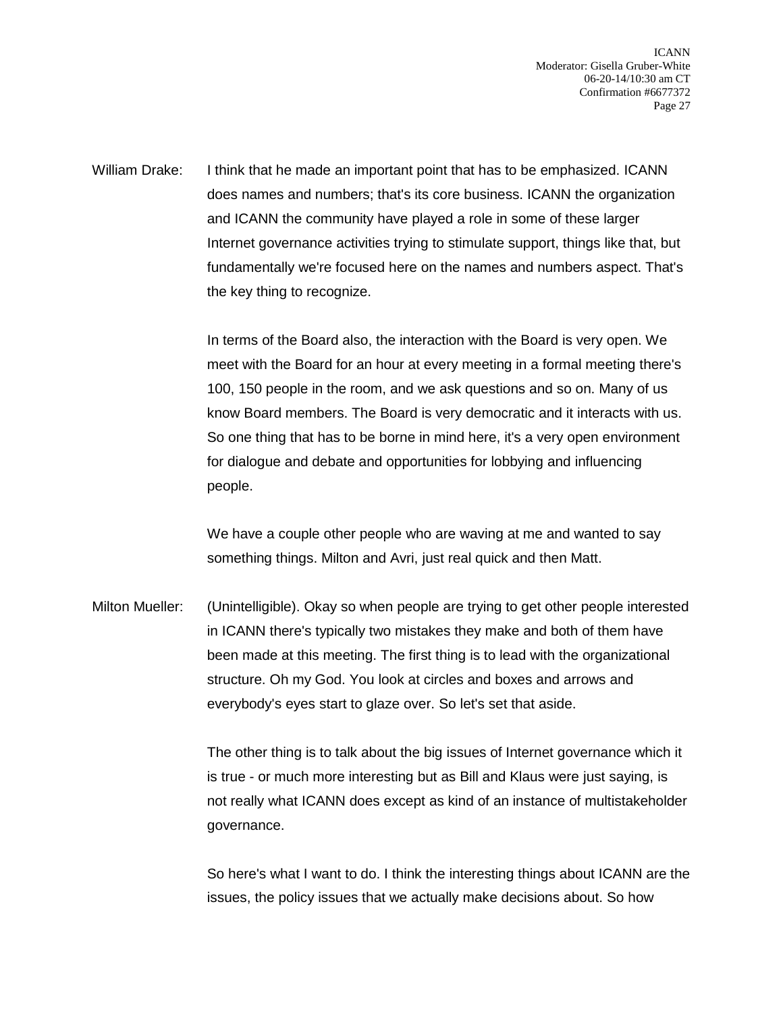William Drake: I think that he made an important point that has to be emphasized. ICANN does names and numbers; that's its core business. ICANN the organization and ICANN the community have played a role in some of these larger Internet governance activities trying to stimulate support, things like that, but fundamentally we're focused here on the names and numbers aspect. That's the key thing to recognize.

> In terms of the Board also, the interaction with the Board is very open. We meet with the Board for an hour at every meeting in a formal meeting there's 100, 150 people in the room, and we ask questions and so on. Many of us know Board members. The Board is very democratic and it interacts with us. So one thing that has to be borne in mind here, it's a very open environment for dialogue and debate and opportunities for lobbying and influencing people.

We have a couple other people who are waving at me and wanted to say something things. Milton and Avri, just real quick and then Matt.

Milton Mueller: (Unintelligible). Okay so when people are trying to get other people interested in ICANN there's typically two mistakes they make and both of them have been made at this meeting. The first thing is to lead with the organizational structure. Oh my God. You look at circles and boxes and arrows and everybody's eyes start to glaze over. So let's set that aside.

> The other thing is to talk about the big issues of Internet governance which it is true - or much more interesting but as Bill and Klaus were just saying, is not really what ICANN does except as kind of an instance of multistakeholder governance.

> So here's what I want to do. I think the interesting things about ICANN are the issues, the policy issues that we actually make decisions about. So how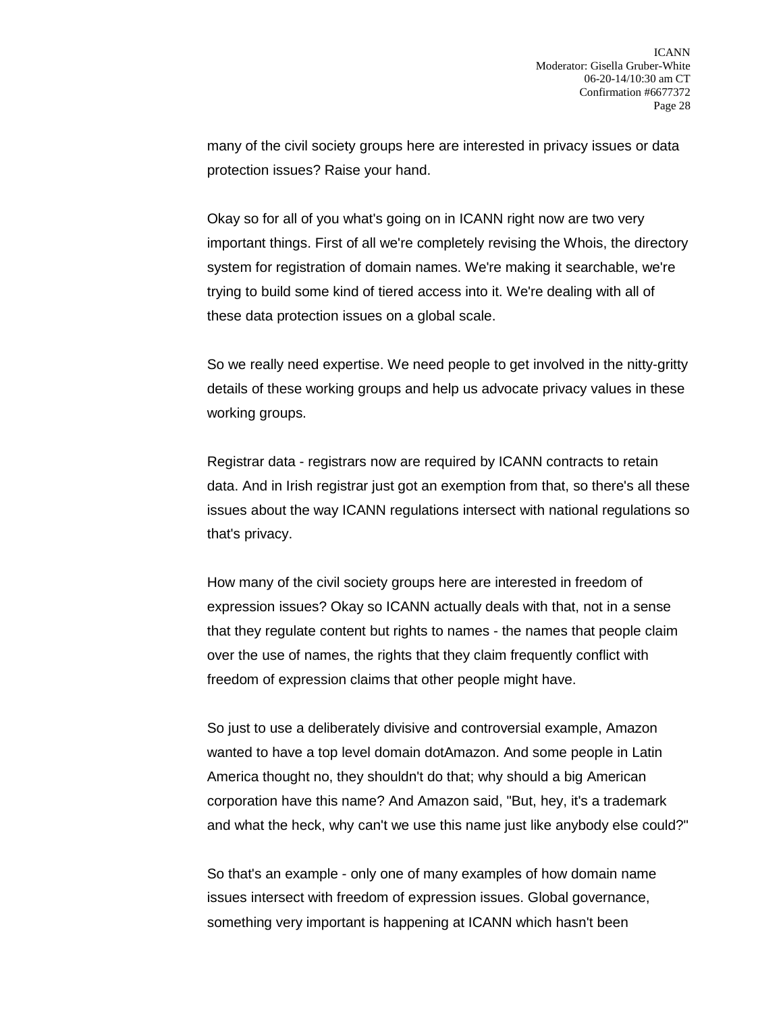many of the civil society groups here are interested in privacy issues or data protection issues? Raise your hand.

Okay so for all of you what's going on in ICANN right now are two very important things. First of all we're completely revising the Whois, the directory system for registration of domain names. We're making it searchable, we're trying to build some kind of tiered access into it. We're dealing with all of these data protection issues on a global scale.

So we really need expertise. We need people to get involved in the nitty-gritty details of these working groups and help us advocate privacy values in these working groups.

Registrar data - registrars now are required by ICANN contracts to retain data. And in Irish registrar just got an exemption from that, so there's all these issues about the way ICANN regulations intersect with national regulations so that's privacy.

How many of the civil society groups here are interested in freedom of expression issues? Okay so ICANN actually deals with that, not in a sense that they regulate content but rights to names - the names that people claim over the use of names, the rights that they claim frequently conflict with freedom of expression claims that other people might have.

So just to use a deliberately divisive and controversial example, Amazon wanted to have a top level domain dotAmazon. And some people in Latin America thought no, they shouldn't do that; why should a big American corporation have this name? And Amazon said, "But, hey, it's a trademark and what the heck, why can't we use this name just like anybody else could?"

So that's an example - only one of many examples of how domain name issues intersect with freedom of expression issues. Global governance, something very important is happening at ICANN which hasn't been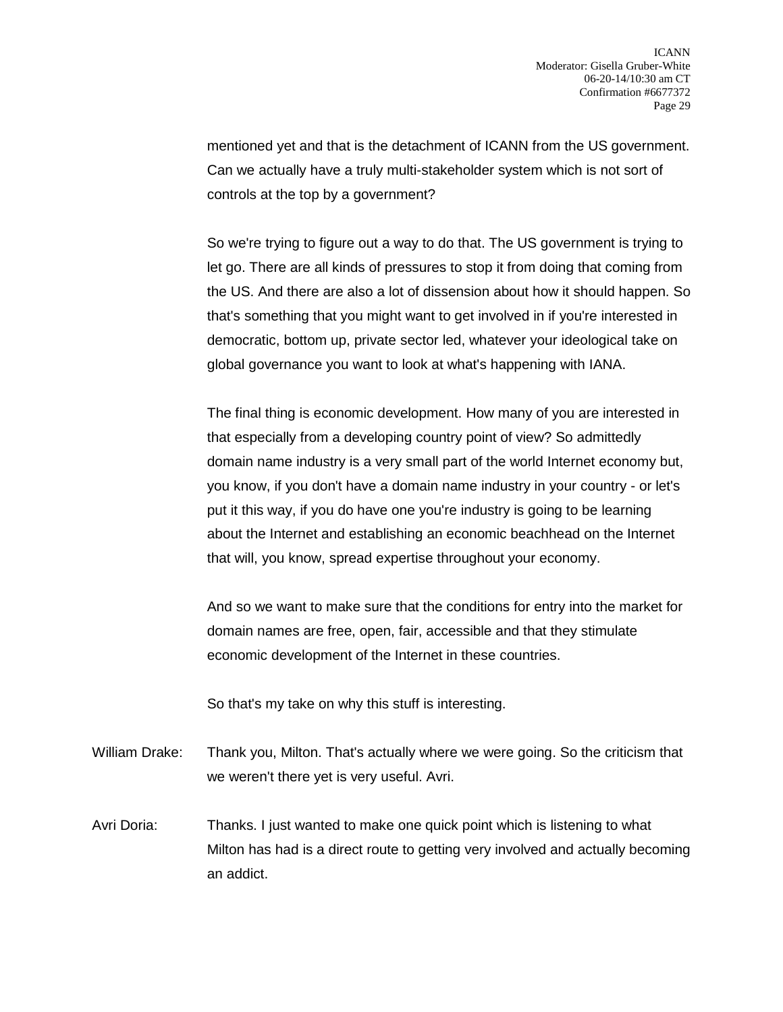mentioned yet and that is the detachment of ICANN from the US government. Can we actually have a truly multi-stakeholder system which is not sort of controls at the top by a government?

So we're trying to figure out a way to do that. The US government is trying to let go. There are all kinds of pressures to stop it from doing that coming from the US. And there are also a lot of dissension about how it should happen. So that's something that you might want to get involved in if you're interested in democratic, bottom up, private sector led, whatever your ideological take on global governance you want to look at what's happening with IANA.

The final thing is economic development. How many of you are interested in that especially from a developing country point of view? So admittedly domain name industry is a very small part of the world Internet economy but, you know, if you don't have a domain name industry in your country - or let's put it this way, if you do have one you're industry is going to be learning about the Internet and establishing an economic beachhead on the Internet that will, you know, spread expertise throughout your economy.

And so we want to make sure that the conditions for entry into the market for domain names are free, open, fair, accessible and that they stimulate economic development of the Internet in these countries.

So that's my take on why this stuff is interesting.

- William Drake: Thank you, Milton. That's actually where we were going. So the criticism that we weren't there yet is very useful. Avri.
- Avri Doria: Thanks. I just wanted to make one quick point which is listening to what Milton has had is a direct route to getting very involved and actually becoming an addict.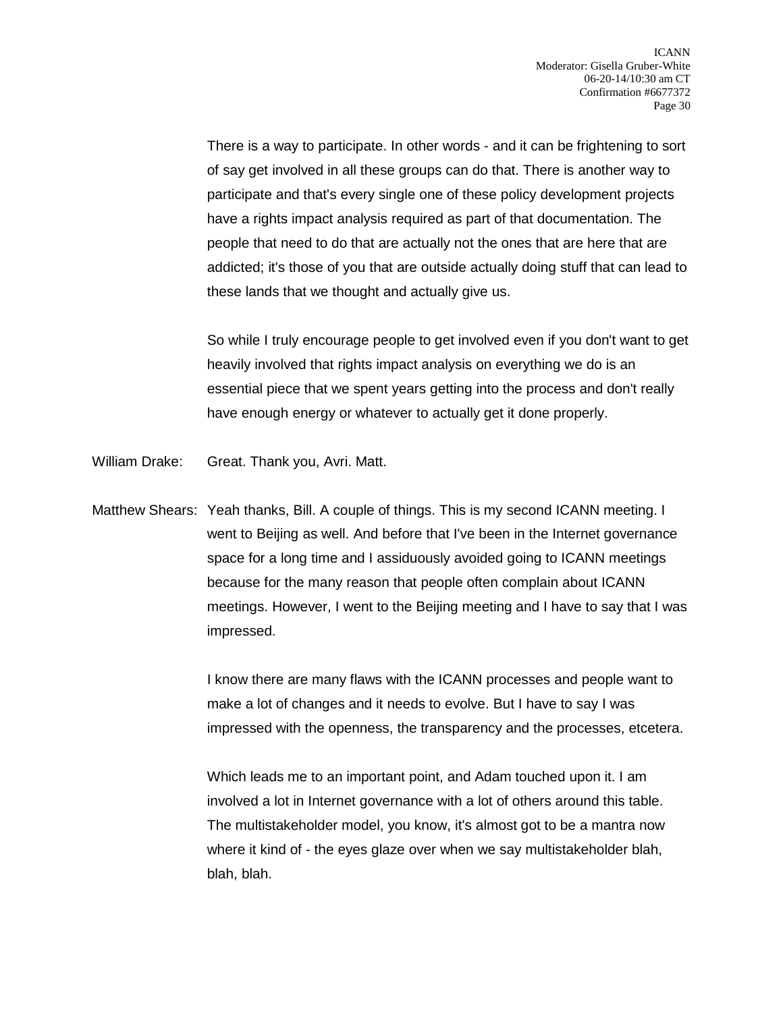There is a way to participate. In other words - and it can be frightening to sort of say get involved in all these groups can do that. There is another way to participate and that's every single one of these policy development projects have a rights impact analysis required as part of that documentation. The people that need to do that are actually not the ones that are here that are addicted; it's those of you that are outside actually doing stuff that can lead to these lands that we thought and actually give us.

So while I truly encourage people to get involved even if you don't want to get heavily involved that rights impact analysis on everything we do is an essential piece that we spent years getting into the process and don't really have enough energy or whatever to actually get it done properly.

- William Drake: Great. Thank you, Avri. Matt.
- Matthew Shears: Yeah thanks, Bill. A couple of things. This is my second ICANN meeting. I went to Beijing as well. And before that I've been in the Internet governance space for a long time and I assiduously avoided going to ICANN meetings because for the many reason that people often complain about ICANN meetings. However, I went to the Beijing meeting and I have to say that I was impressed.

I know there are many flaws with the ICANN processes and people want to make a lot of changes and it needs to evolve. But I have to say I was impressed with the openness, the transparency and the processes, etcetera.

Which leads me to an important point, and Adam touched upon it. I am involved a lot in Internet governance with a lot of others around this table. The multistakeholder model, you know, it's almost got to be a mantra now where it kind of - the eyes glaze over when we say multistakeholder blah, blah, blah.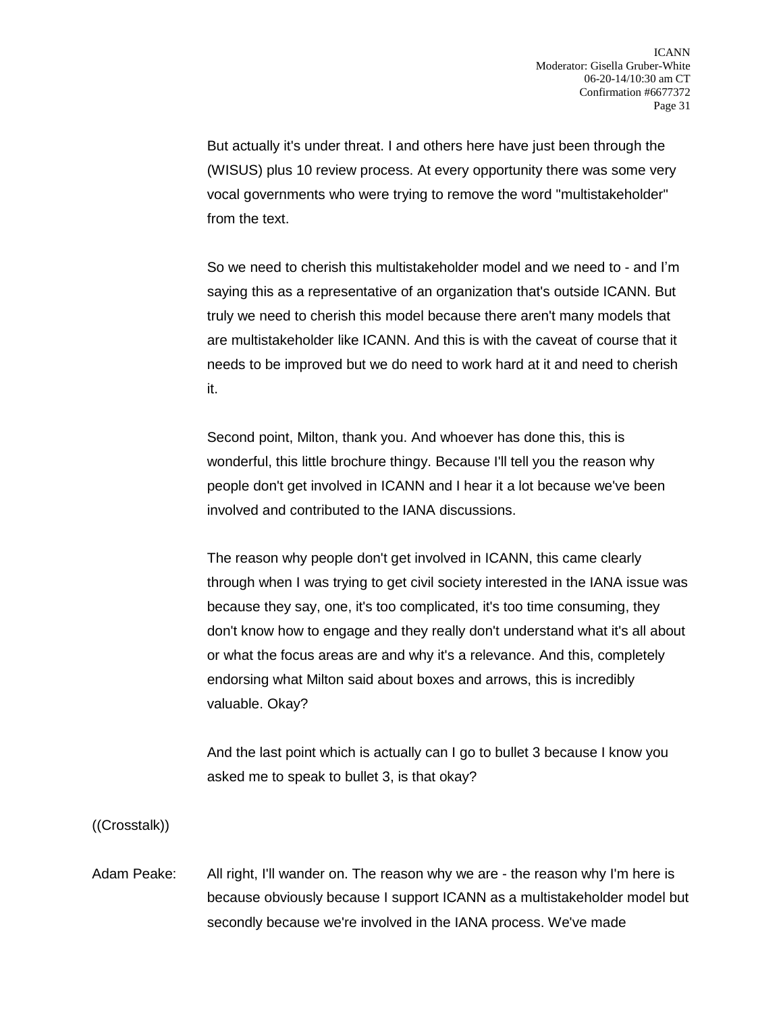But actually it's under threat. I and others here have just been through the (WISUS) plus 10 review process. At every opportunity there was some very vocal governments who were trying to remove the word "multistakeholder" from the text.

So we need to cherish this multistakeholder model and we need to - and I'm saying this as a representative of an organization that's outside ICANN. But truly we need to cherish this model because there aren't many models that are multistakeholder like ICANN. And this is with the caveat of course that it needs to be improved but we do need to work hard at it and need to cherish it.

Second point, Milton, thank you. And whoever has done this, this is wonderful, this little brochure thingy. Because I'll tell you the reason why people don't get involved in ICANN and I hear it a lot because we've been involved and contributed to the IANA discussions.

The reason why people don't get involved in ICANN, this came clearly through when I was trying to get civil society interested in the IANA issue was because they say, one, it's too complicated, it's too time consuming, they don't know how to engage and they really don't understand what it's all about or what the focus areas are and why it's a relevance. And this, completely endorsing what Milton said about boxes and arrows, this is incredibly valuable. Okay?

And the last point which is actually can I go to bullet 3 because I know you asked me to speak to bullet 3, is that okay?

((Crosstalk))

Adam Peake: All right, I'll wander on. The reason why we are - the reason why I'm here is because obviously because I support ICANN as a multistakeholder model but secondly because we're involved in the IANA process. We've made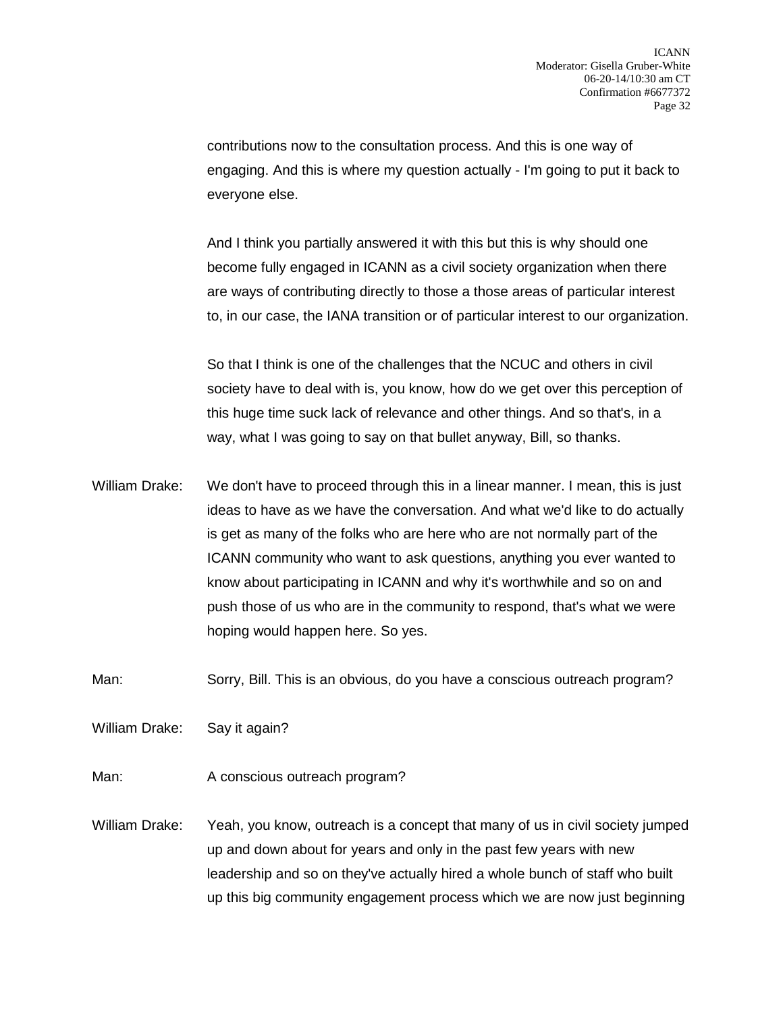contributions now to the consultation process. And this is one way of engaging. And this is where my question actually - I'm going to put it back to everyone else.

And I think you partially answered it with this but this is why should one become fully engaged in ICANN as a civil society organization when there are ways of contributing directly to those a those areas of particular interest to, in our case, the IANA transition or of particular interest to our organization.

So that I think is one of the challenges that the NCUC and others in civil society have to deal with is, you know, how do we get over this perception of this huge time suck lack of relevance and other things. And so that's, in a way, what I was going to say on that bullet anyway, Bill, so thanks.

William Drake: We don't have to proceed through this in a linear manner. I mean, this is just ideas to have as we have the conversation. And what we'd like to do actually is get as many of the folks who are here who are not normally part of the ICANN community who want to ask questions, anything you ever wanted to know about participating in ICANN and why it's worthwhile and so on and push those of us who are in the community to respond, that's what we were hoping would happen here. So yes.

Man: Sorry, Bill. This is an obvious, do you have a conscious outreach program?

William Drake: Say it again?

Man: A conscious outreach program?

William Drake: Yeah, you know, outreach is a concept that many of us in civil society jumped up and down about for years and only in the past few years with new leadership and so on they've actually hired a whole bunch of staff who built up this big community engagement process which we are now just beginning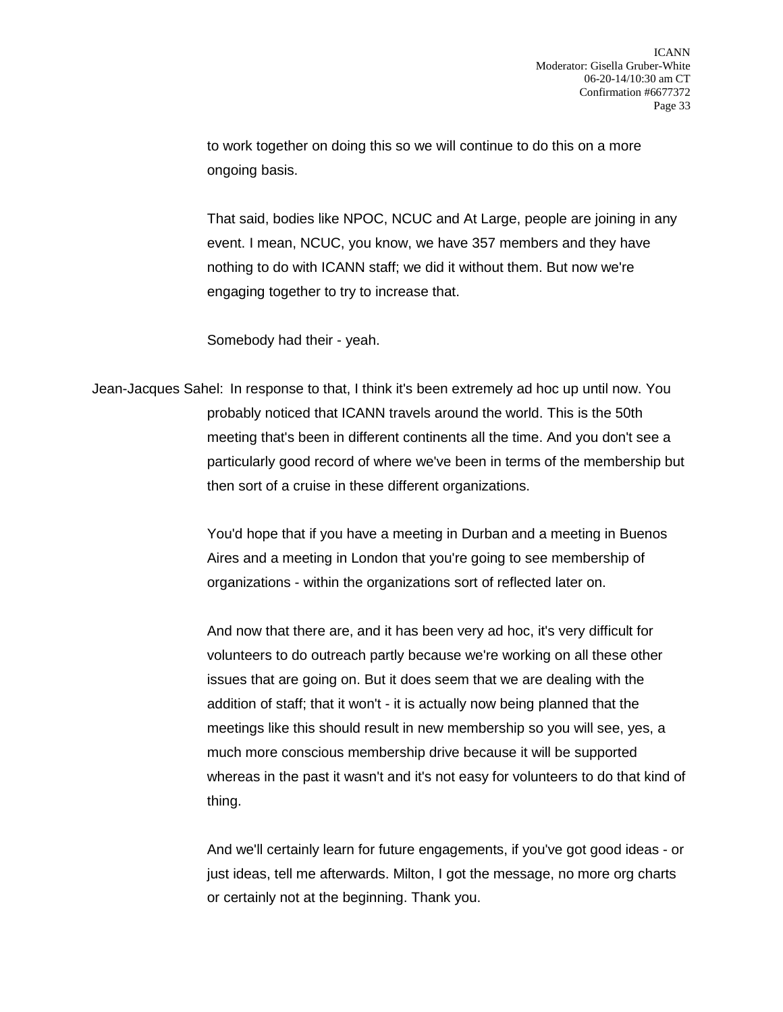to work together on doing this so we will continue to do this on a more ongoing basis.

That said, bodies like NPOC, NCUC and At Large, people are joining in any event. I mean, NCUC, you know, we have 357 members and they have nothing to do with ICANN staff; we did it without them. But now we're engaging together to try to increase that.

Somebody had their - yeah.

Jean-Jacques Sahel: In response to that, I think it's been extremely ad hoc up until now. You probably noticed that ICANN travels around the world. This is the 50th meeting that's been in different continents all the time. And you don't see a particularly good record of where we've been in terms of the membership but then sort of a cruise in these different organizations.

> You'd hope that if you have a meeting in Durban and a meeting in Buenos Aires and a meeting in London that you're going to see membership of organizations - within the organizations sort of reflected later on.

And now that there are, and it has been very ad hoc, it's very difficult for volunteers to do outreach partly because we're working on all these other issues that are going on. But it does seem that we are dealing with the addition of staff; that it won't - it is actually now being planned that the meetings like this should result in new membership so you will see, yes, a much more conscious membership drive because it will be supported whereas in the past it wasn't and it's not easy for volunteers to do that kind of thing.

And we'll certainly learn for future engagements, if you've got good ideas - or just ideas, tell me afterwards. Milton, I got the message, no more org charts or certainly not at the beginning. Thank you.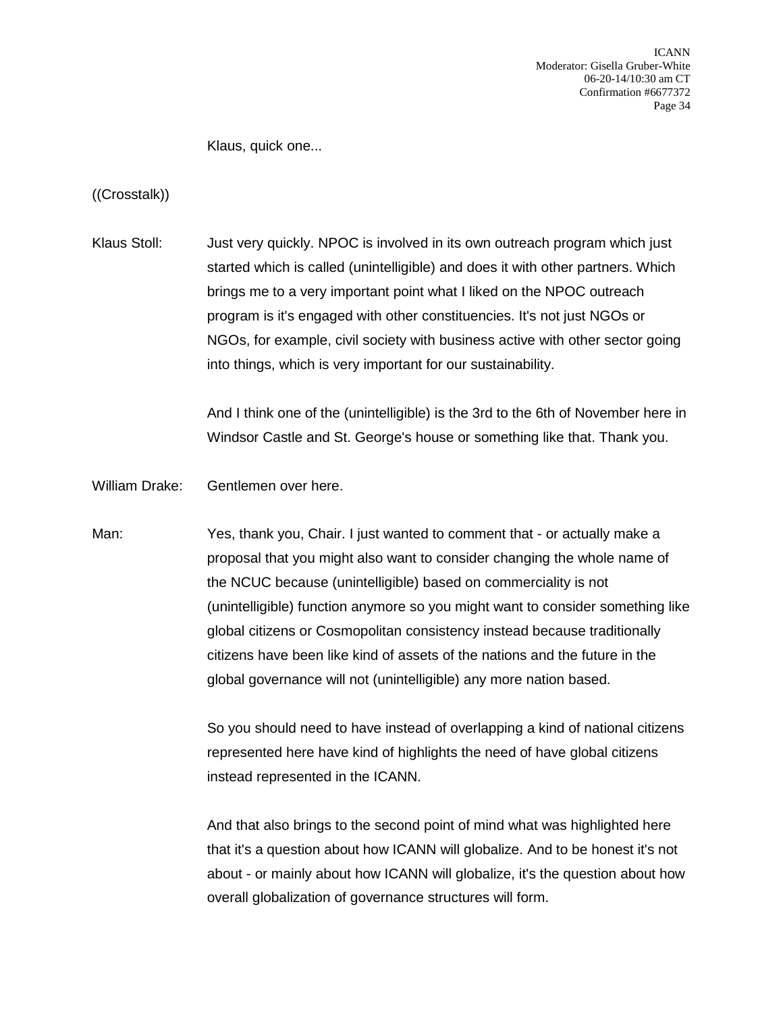ICANN Moderator: Gisella Gruber-White 06-20-14/10:30 am CT Confirmation #6677372 Page 34

Klaus, quick one...

((Crosstalk))

Klaus Stoll: Just very quickly. NPOC is involved in its own outreach program which just started which is called (unintelligible) and does it with other partners. Which brings me to a very important point what I liked on the NPOC outreach program is it's engaged with other constituencies. It's not just NGOs or NGOs, for example, civil society with business active with other sector going into things, which is very important for our sustainability.

> And I think one of the (unintelligible) is the 3rd to the 6th of November here in Windsor Castle and St. George's house or something like that. Thank you.

William Drake: Gentlemen over here.

Man: Yes, thank you, Chair. I just wanted to comment that - or actually make a proposal that you might also want to consider changing the whole name of the NCUC because (unintelligible) based on commerciality is not (unintelligible) function anymore so you might want to consider something like global citizens or Cosmopolitan consistency instead because traditionally citizens have been like kind of assets of the nations and the future in the global governance will not (unintelligible) any more nation based.

> So you should need to have instead of overlapping a kind of national citizens represented here have kind of highlights the need of have global citizens instead represented in the ICANN.

> And that also brings to the second point of mind what was highlighted here that it's a question about how ICANN will globalize. And to be honest it's not about - or mainly about how ICANN will globalize, it's the question about how overall globalization of governance structures will form.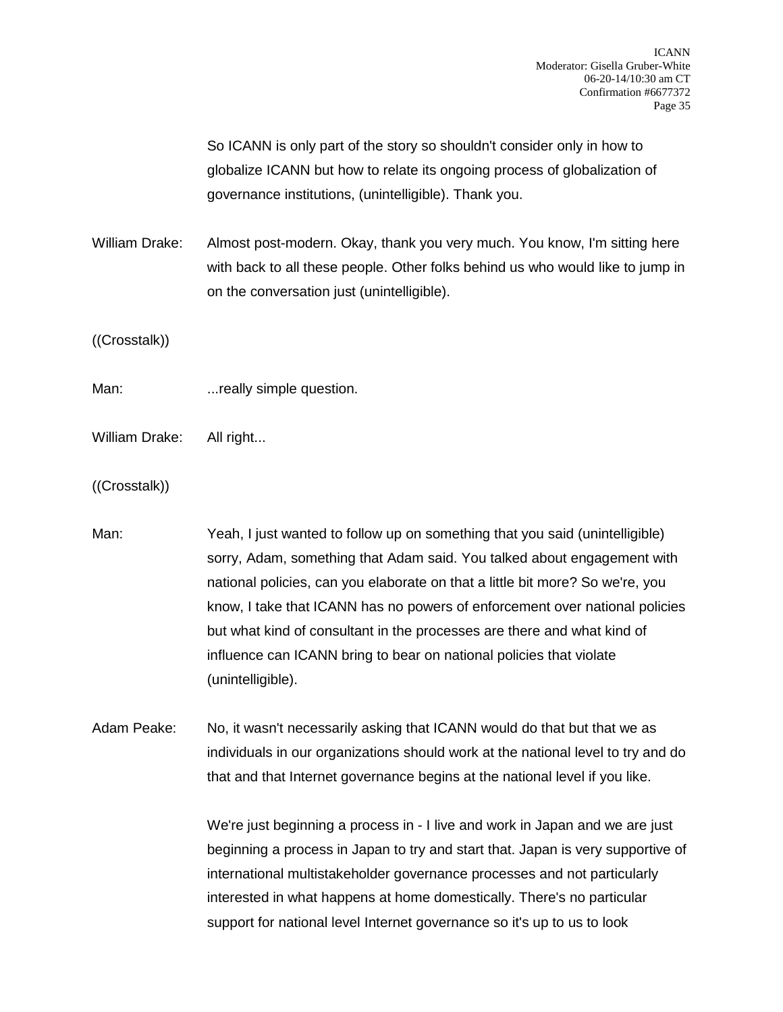So ICANN is only part of the story so shouldn't consider only in how to globalize ICANN but how to relate its ongoing process of globalization of governance institutions, (unintelligible). Thank you.

William Drake: Almost post-modern. Okay, thank you very much. You know, I'm sitting here with back to all these people. Other folks behind us who would like to jump in on the conversation just (unintelligible).

((Crosstalk))

Man: ...really simple question.

William Drake: All right...

((Crosstalk))

Man: Yeah, I just wanted to follow up on something that you said (unintelligible) sorry, Adam, something that Adam said. You talked about engagement with national policies, can you elaborate on that a little bit more? So we're, you know, I take that ICANN has no powers of enforcement over national policies but what kind of consultant in the processes are there and what kind of influence can ICANN bring to bear on national policies that violate (unintelligible).

Adam Peake: No, it wasn't necessarily asking that ICANN would do that but that we as individuals in our organizations should work at the national level to try and do that and that Internet governance begins at the national level if you like.

> We're just beginning a process in - I live and work in Japan and we are just beginning a process in Japan to try and start that. Japan is very supportive of international multistakeholder governance processes and not particularly interested in what happens at home domestically. There's no particular support for national level Internet governance so it's up to us to look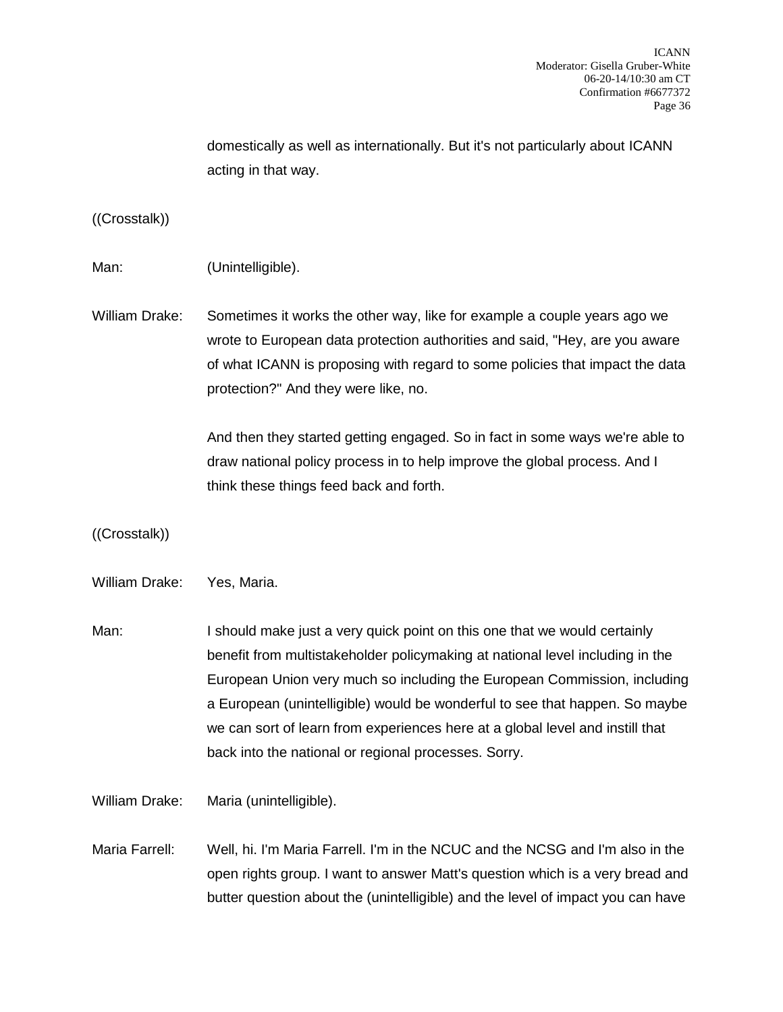domestically as well as internationally. But it's not particularly about ICANN acting in that way.

((Crosstalk))

Man: (Unintelligible).

William Drake: Sometimes it works the other way, like for example a couple years ago we wrote to European data protection authorities and said, "Hey, are you aware of what ICANN is proposing with regard to some policies that impact the data protection?" And they were like, no.

> And then they started getting engaged. So in fact in some ways we're able to draw national policy process in to help improve the global process. And I think these things feed back and forth.

((Crosstalk))

William Drake: Yes, Maria.

Man: I should make just a very quick point on this one that we would certainly benefit from multistakeholder policymaking at national level including in the European Union very much so including the European Commission, including a European (unintelligible) would be wonderful to see that happen. So maybe we can sort of learn from experiences here at a global level and instill that back into the national or regional processes. Sorry.

William Drake: Maria (unintelligible).

Maria Farrell: Well, hi. I'm Maria Farrell. I'm in the NCUC and the NCSG and I'm also in the open rights group. I want to answer Matt's question which is a very bread and butter question about the (unintelligible) and the level of impact you can have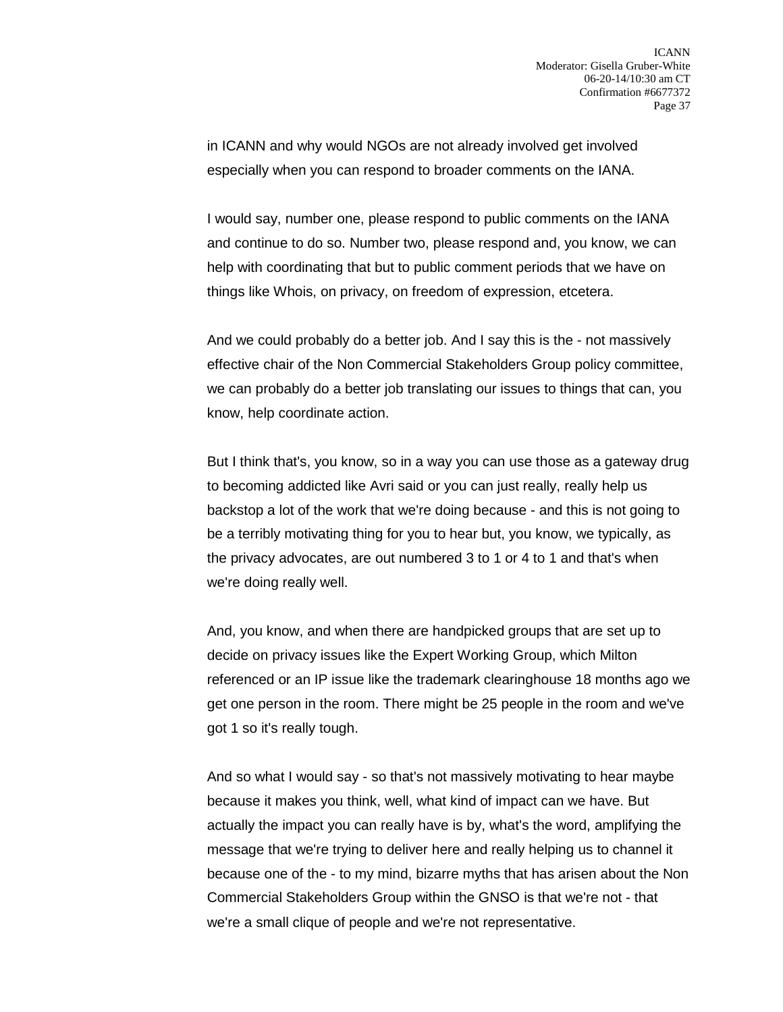in ICANN and why would NGOs are not already involved get involved especially when you can respond to broader comments on the IANA.

I would say, number one, please respond to public comments on the IANA and continue to do so. Number two, please respond and, you know, we can help with coordinating that but to public comment periods that we have on things like Whois, on privacy, on freedom of expression, etcetera.

And we could probably do a better job. And I say this is the - not massively effective chair of the Non Commercial Stakeholders Group policy committee, we can probably do a better job translating our issues to things that can, you know, help coordinate action.

But I think that's, you know, so in a way you can use those as a gateway drug to becoming addicted like Avri said or you can just really, really help us backstop a lot of the work that we're doing because - and this is not going to be a terribly motivating thing for you to hear but, you know, we typically, as the privacy advocates, are out numbered 3 to 1 or 4 to 1 and that's when we're doing really well.

And, you know, and when there are handpicked groups that are set up to decide on privacy issues like the Expert Working Group, which Milton referenced or an IP issue like the trademark clearinghouse 18 months ago we get one person in the room. There might be 25 people in the room and we've got 1 so it's really tough.

And so what I would say - so that's not massively motivating to hear maybe because it makes you think, well, what kind of impact can we have. But actually the impact you can really have is by, what's the word, amplifying the message that we're trying to deliver here and really helping us to channel it because one of the - to my mind, bizarre myths that has arisen about the Non Commercial Stakeholders Group within the GNSO is that we're not - that we're a small clique of people and we're not representative.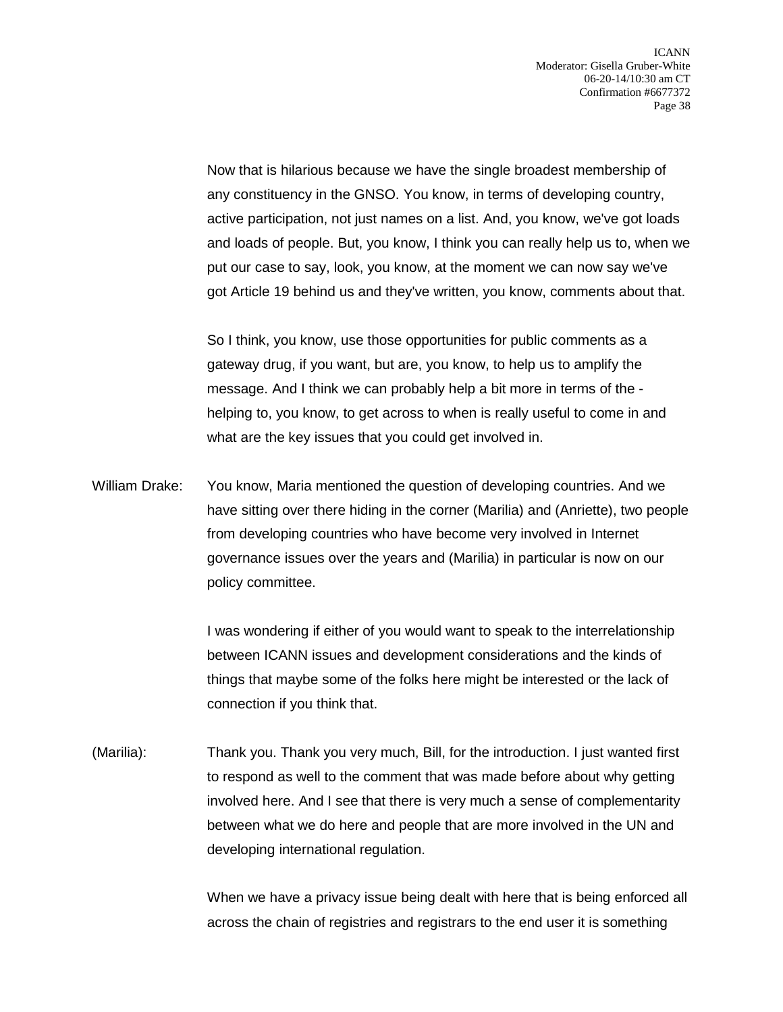Now that is hilarious because we have the single broadest membership of any constituency in the GNSO. You know, in terms of developing country, active participation, not just names on a list. And, you know, we've got loads and loads of people. But, you know, I think you can really help us to, when we put our case to say, look, you know, at the moment we can now say we've got Article 19 behind us and they've written, you know, comments about that.

So I think, you know, use those opportunities for public comments as a gateway drug, if you want, but are, you know, to help us to amplify the message. And I think we can probably help a bit more in terms of the helping to, you know, to get across to when is really useful to come in and what are the key issues that you could get involved in.

William Drake: You know, Maria mentioned the question of developing countries. And we have sitting over there hiding in the corner (Marilia) and (Anriette), two people from developing countries who have become very involved in Internet governance issues over the years and (Marilia) in particular is now on our policy committee.

> I was wondering if either of you would want to speak to the interrelationship between ICANN issues and development considerations and the kinds of things that maybe some of the folks here might be interested or the lack of connection if you think that.

(Marilia): Thank you. Thank you very much, Bill, for the introduction. I just wanted first to respond as well to the comment that was made before about why getting involved here. And I see that there is very much a sense of complementarity between what we do here and people that are more involved in the UN and developing international regulation.

> When we have a privacy issue being dealt with here that is being enforced all across the chain of registries and registrars to the end user it is something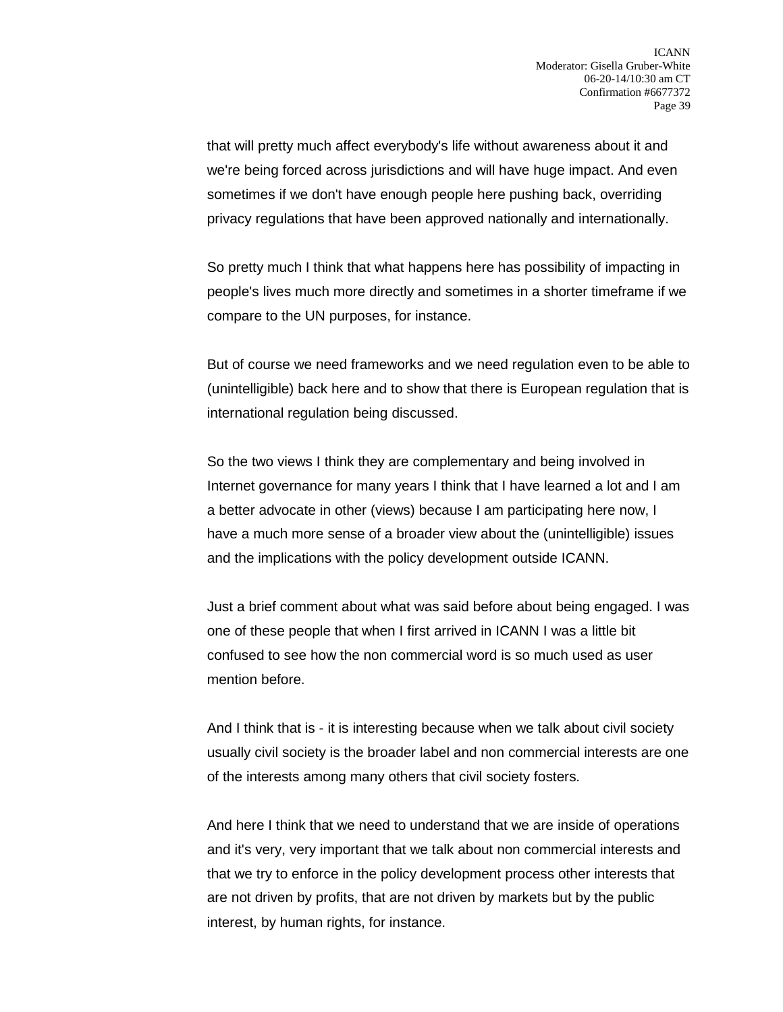that will pretty much affect everybody's life without awareness about it and we're being forced across jurisdictions and will have huge impact. And even sometimes if we don't have enough people here pushing back, overriding privacy regulations that have been approved nationally and internationally.

So pretty much I think that what happens here has possibility of impacting in people's lives much more directly and sometimes in a shorter timeframe if we compare to the UN purposes, for instance.

But of course we need frameworks and we need regulation even to be able to (unintelligible) back here and to show that there is European regulation that is international regulation being discussed.

So the two views I think they are complementary and being involved in Internet governance for many years I think that I have learned a lot and I am a better advocate in other (views) because I am participating here now, I have a much more sense of a broader view about the (unintelligible) issues and the implications with the policy development outside ICANN.

Just a brief comment about what was said before about being engaged. I was one of these people that when I first arrived in ICANN I was a little bit confused to see how the non commercial word is so much used as user mention before.

And I think that is - it is interesting because when we talk about civil society usually civil society is the broader label and non commercial interests are one of the interests among many others that civil society fosters.

And here I think that we need to understand that we are inside of operations and it's very, very important that we talk about non commercial interests and that we try to enforce in the policy development process other interests that are not driven by profits, that are not driven by markets but by the public interest, by human rights, for instance.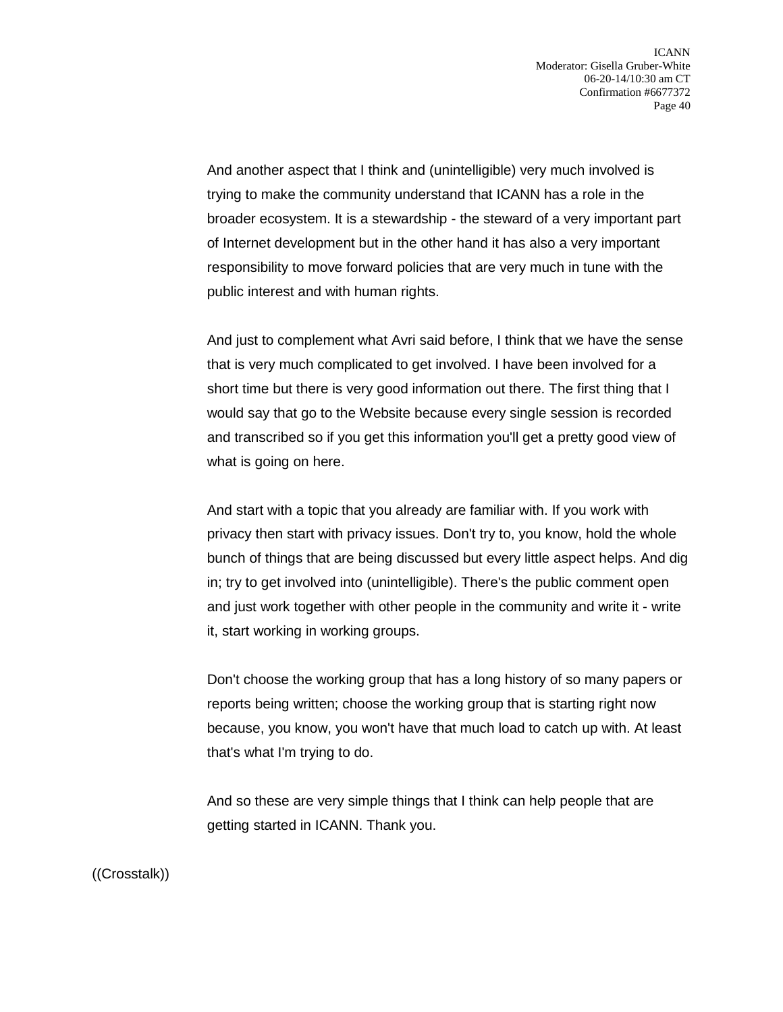And another aspect that I think and (unintelligible) very much involved is trying to make the community understand that ICANN has a role in the broader ecosystem. It is a stewardship - the steward of a very important part of Internet development but in the other hand it has also a very important responsibility to move forward policies that are very much in tune with the public interest and with human rights.

And just to complement what Avri said before, I think that we have the sense that is very much complicated to get involved. I have been involved for a short time but there is very good information out there. The first thing that I would say that go to the Website because every single session is recorded and transcribed so if you get this information you'll get a pretty good view of what is going on here.

And start with a topic that you already are familiar with. If you work with privacy then start with privacy issues. Don't try to, you know, hold the whole bunch of things that are being discussed but every little aspect helps. And dig in; try to get involved into (unintelligible). There's the public comment open and just work together with other people in the community and write it - write it, start working in working groups.

Don't choose the working group that has a long history of so many papers or reports being written; choose the working group that is starting right now because, you know, you won't have that much load to catch up with. At least that's what I'm trying to do.

And so these are very simple things that I think can help people that are getting started in ICANN. Thank you.

((Crosstalk))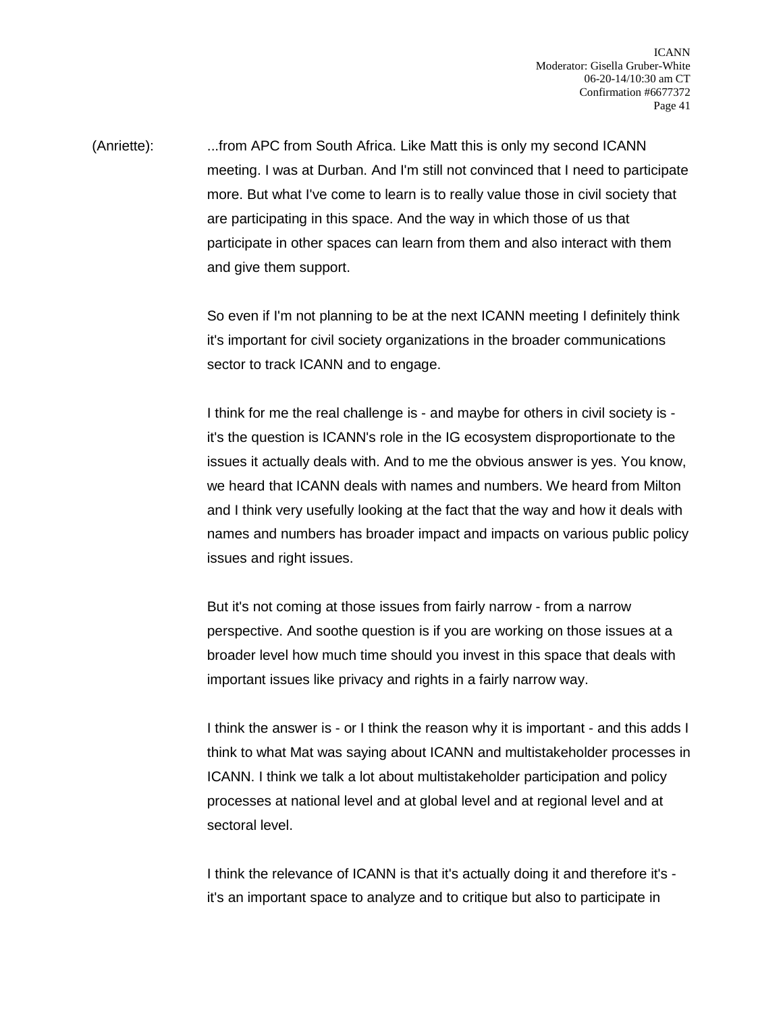(Anriette): ...from APC from South Africa. Like Matt this is only my second ICANN meeting. I was at Durban. And I'm still not convinced that I need to participate more. But what I've come to learn is to really value those in civil society that are participating in this space. And the way in which those of us that participate in other spaces can learn from them and also interact with them and give them support.

> So even if I'm not planning to be at the next ICANN meeting I definitely think it's important for civil society organizations in the broader communications sector to track ICANN and to engage.

I think for me the real challenge is - and maybe for others in civil society is it's the question is ICANN's role in the IG ecosystem disproportionate to the issues it actually deals with. And to me the obvious answer is yes. You know, we heard that ICANN deals with names and numbers. We heard from Milton and I think very usefully looking at the fact that the way and how it deals with names and numbers has broader impact and impacts on various public policy issues and right issues.

But it's not coming at those issues from fairly narrow - from a narrow perspective. And soothe question is if you are working on those issues at a broader level how much time should you invest in this space that deals with important issues like privacy and rights in a fairly narrow way.

I think the answer is - or I think the reason why it is important - and this adds I think to what Mat was saying about ICANN and multistakeholder processes in ICANN. I think we talk a lot about multistakeholder participation and policy processes at national level and at global level and at regional level and at sectoral level.

I think the relevance of ICANN is that it's actually doing it and therefore it's it's an important space to analyze and to critique but also to participate in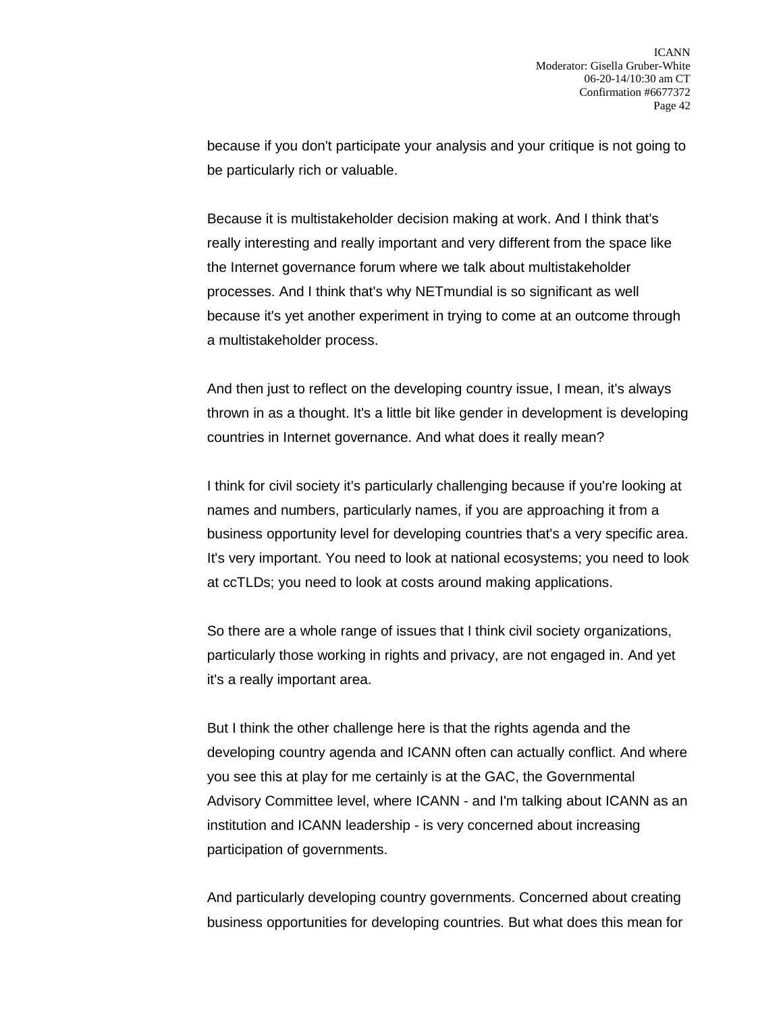because if you don't participate your analysis and your critique is not going to be particularly rich or valuable.

Because it is multistakeholder decision making at work. And I think that's really interesting and really important and very different from the space like the Internet governance forum where we talk about multistakeholder processes. And I think that's why NETmundial is so significant as well because it's yet another experiment in trying to come at an outcome through a multistakeholder process.

And then just to reflect on the developing country issue, I mean, it's always thrown in as a thought. It's a little bit like gender in development is developing countries in Internet governance. And what does it really mean?

I think for civil society it's particularly challenging because if you're looking at names and numbers, particularly names, if you are approaching it from a business opportunity level for developing countries that's a very specific area. It's very important. You need to look at national ecosystems; you need to look at ccTLDs; you need to look at costs around making applications.

So there are a whole range of issues that I think civil society organizations, particularly those working in rights and privacy, are not engaged in. And yet it's a really important area.

But I think the other challenge here is that the rights agenda and the developing country agenda and ICANN often can actually conflict. And where you see this at play for me certainly is at the GAC, the Governmental Advisory Committee level, where ICANN - and I'm talking about ICANN as an institution and ICANN leadership - is very concerned about increasing participation of governments.

And particularly developing country governments. Concerned about creating business opportunities for developing countries. But what does this mean for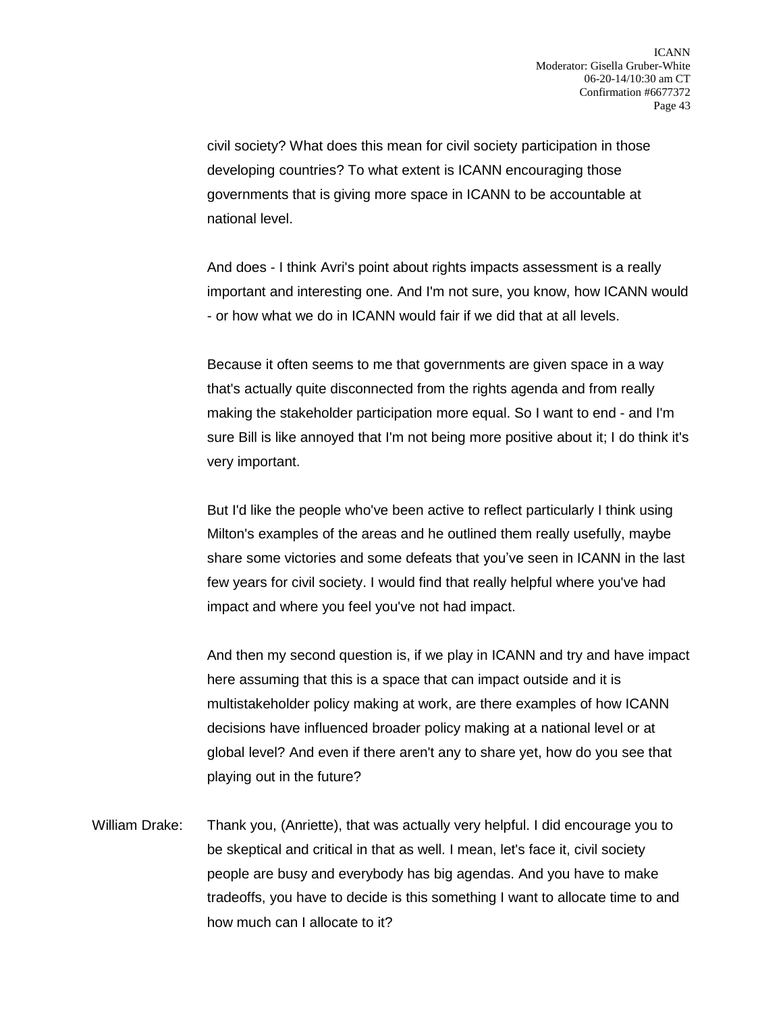civil society? What does this mean for civil society participation in those developing countries? To what extent is ICANN encouraging those governments that is giving more space in ICANN to be accountable at national level.

And does - I think Avri's point about rights impacts assessment is a really important and interesting one. And I'm not sure, you know, how ICANN would - or how what we do in ICANN would fair if we did that at all levels.

Because it often seems to me that governments are given space in a way that's actually quite disconnected from the rights agenda and from really making the stakeholder participation more equal. So I want to end - and I'm sure Bill is like annoyed that I'm not being more positive about it; I do think it's very important.

But I'd like the people who've been active to reflect particularly I think using Milton's examples of the areas and he outlined them really usefully, maybe share some victories and some defeats that you've seen in ICANN in the last few years for civil society. I would find that really helpful where you've had impact and where you feel you've not had impact.

And then my second question is, if we play in ICANN and try and have impact here assuming that this is a space that can impact outside and it is multistakeholder policy making at work, are there examples of how ICANN decisions have influenced broader policy making at a national level or at global level? And even if there aren't any to share yet, how do you see that playing out in the future?

William Drake: Thank you, (Anriette), that was actually very helpful. I did encourage you to be skeptical and critical in that as well. I mean, let's face it, civil society people are busy and everybody has big agendas. And you have to make tradeoffs, you have to decide is this something I want to allocate time to and how much can I allocate to it?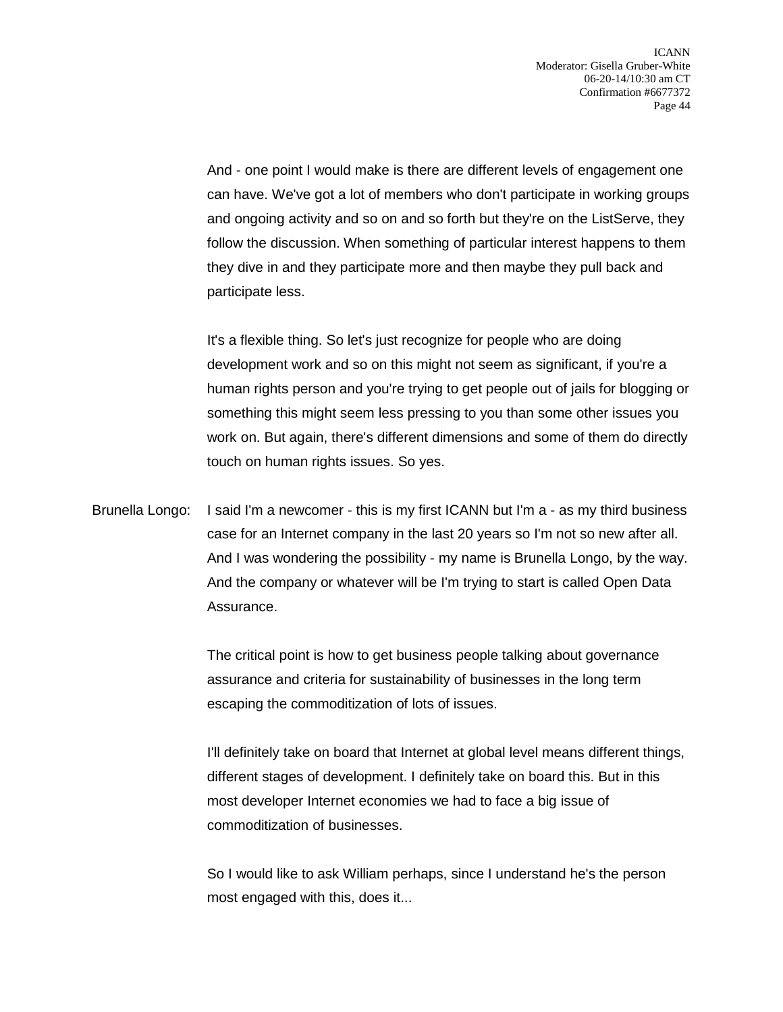And - one point I would make is there are different levels of engagement one can have. We've got a lot of members who don't participate in working groups and ongoing activity and so on and so forth but they're on the ListServe, they follow the discussion. When something of particular interest happens to them they dive in and they participate more and then maybe they pull back and participate less.

It's a flexible thing. So let's just recognize for people who are doing development work and so on this might not seem as significant, if you're a human rights person and you're trying to get people out of jails for blogging or something this might seem less pressing to you than some other issues you work on. But again, there's different dimensions and some of them do directly touch on human rights issues. So yes.

Brunella Longo: I said I'm a newcomer - this is my first ICANN but I'm a - as my third business case for an Internet company in the last 20 years so I'm not so new after all. And I was wondering the possibility - my name is Brunella Longo, by the way. And the company or whatever will be I'm trying to start is called Open Data Assurance.

> The critical point is how to get business people talking about governance assurance and criteria for sustainability of businesses in the long term escaping the commoditization of lots of issues.

I'll definitely take on board that Internet at global level means different things, different stages of development. I definitely take on board this. But in this most developer Internet economies we had to face a big issue of commoditization of businesses.

So I would like to ask William perhaps, since I understand he's the person most engaged with this, does it...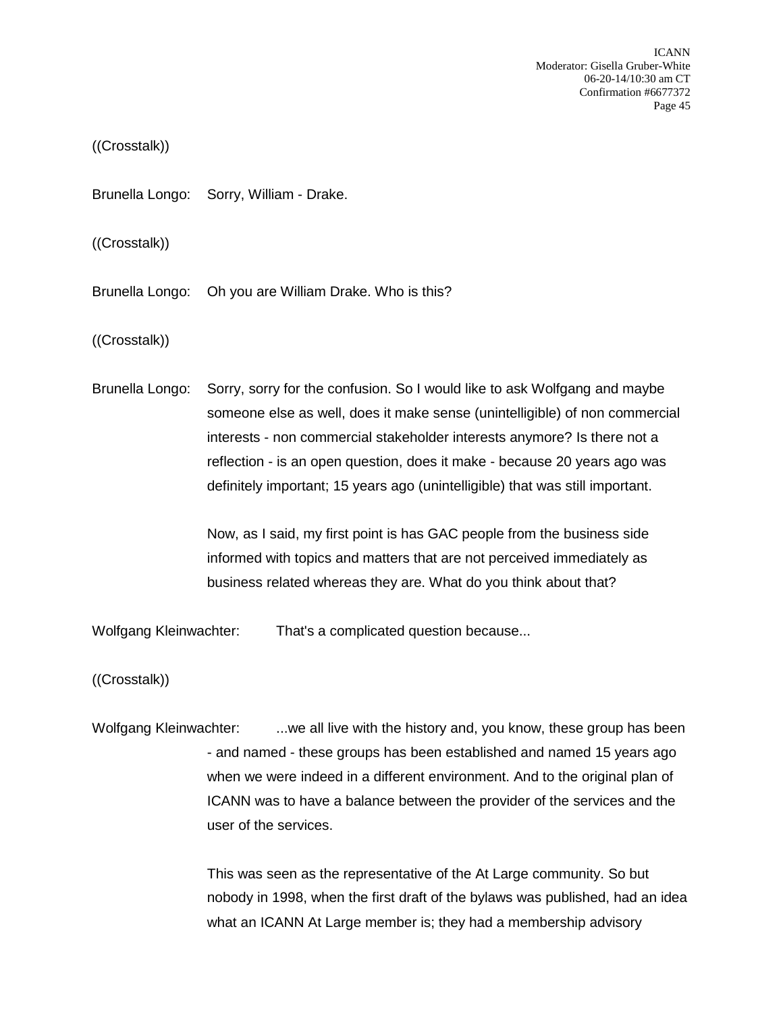ICANN Moderator: Gisella Gruber-White 06-20-14/10:30 am CT Confirmation #6677372 Page 45

((Crosstalk))

Brunella Longo: Sorry, William - Drake.

((Crosstalk))

Brunella Longo: Oh you are William Drake. Who is this?

((Crosstalk))

Brunella Longo: Sorry, sorry for the confusion. So I would like to ask Wolfgang and maybe someone else as well, does it make sense (unintelligible) of non commercial interests - non commercial stakeholder interests anymore? Is there not a reflection - is an open question, does it make - because 20 years ago was definitely important; 15 years ago (unintelligible) that was still important.

> Now, as I said, my first point is has GAC people from the business side informed with topics and matters that are not perceived immediately as business related whereas they are. What do you think about that?

Wolfgang Kleinwachter: That's a complicated question because...

((Crosstalk))

Wolfgang Kleinwachter: ...we all live with the history and, you know, these group has been - and named - these groups has been established and named 15 years ago when we were indeed in a different environment. And to the original plan of ICANN was to have a balance between the provider of the services and the user of the services.

> This was seen as the representative of the At Large community. So but nobody in 1998, when the first draft of the bylaws was published, had an idea what an ICANN At Large member is; they had a membership advisory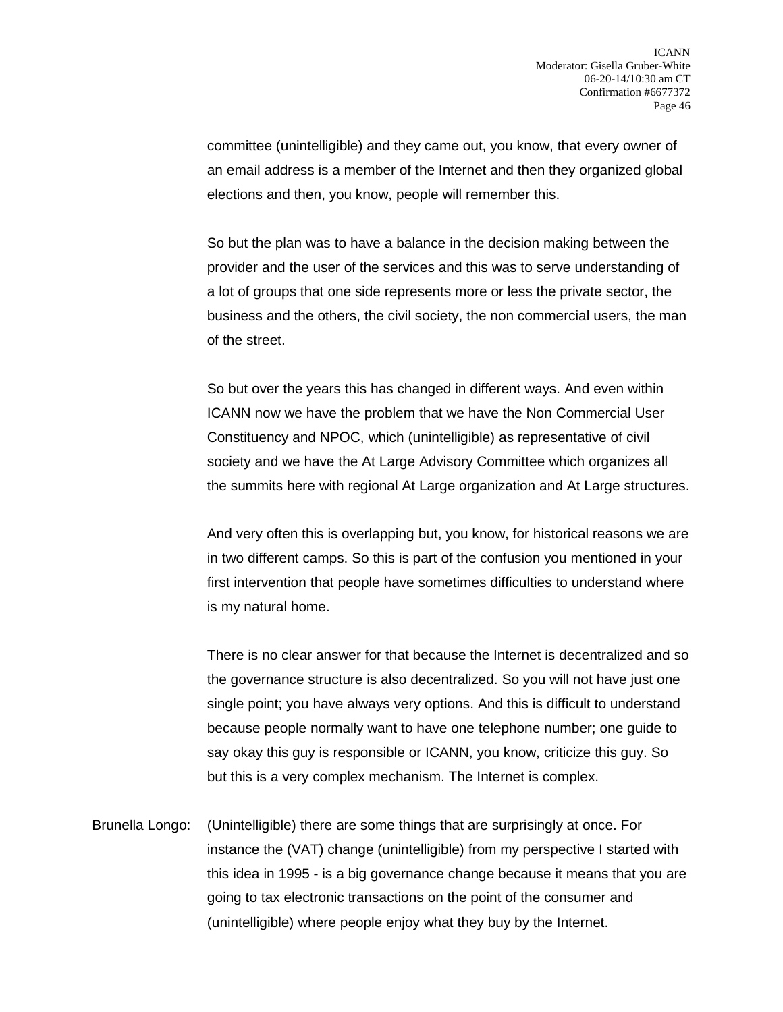committee (unintelligible) and they came out, you know, that every owner of an email address is a member of the Internet and then they organized global elections and then, you know, people will remember this.

So but the plan was to have a balance in the decision making between the provider and the user of the services and this was to serve understanding of a lot of groups that one side represents more or less the private sector, the business and the others, the civil society, the non commercial users, the man of the street.

So but over the years this has changed in different ways. And even within ICANN now we have the problem that we have the Non Commercial User Constituency and NPOC, which (unintelligible) as representative of civil society and we have the At Large Advisory Committee which organizes all the summits here with regional At Large organization and At Large structures.

And very often this is overlapping but, you know, for historical reasons we are in two different camps. So this is part of the confusion you mentioned in your first intervention that people have sometimes difficulties to understand where is my natural home.

There is no clear answer for that because the Internet is decentralized and so the governance structure is also decentralized. So you will not have just one single point; you have always very options. And this is difficult to understand because people normally want to have one telephone number; one guide to say okay this guy is responsible or ICANN, you know, criticize this guy. So but this is a very complex mechanism. The Internet is complex.

Brunella Longo: (Unintelligible) there are some things that are surprisingly at once. For instance the (VAT) change (unintelligible) from my perspective I started with this idea in 1995 - is a big governance change because it means that you are going to tax electronic transactions on the point of the consumer and (unintelligible) where people enjoy what they buy by the Internet.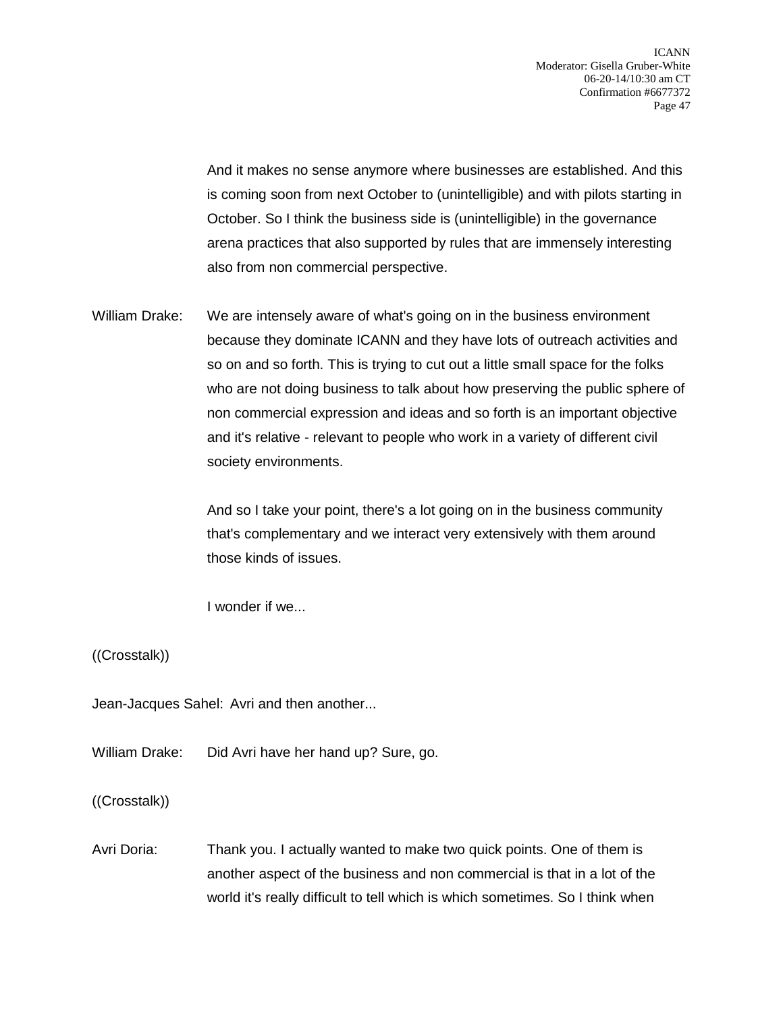And it makes no sense anymore where businesses are established. And this is coming soon from next October to (unintelligible) and with pilots starting in October. So I think the business side is (unintelligible) in the governance arena practices that also supported by rules that are immensely interesting also from non commercial perspective.

William Drake: We are intensely aware of what's going on in the business environment because they dominate ICANN and they have lots of outreach activities and so on and so forth. This is trying to cut out a little small space for the folks who are not doing business to talk about how preserving the public sphere of non commercial expression and ideas and so forth is an important objective and it's relative - relevant to people who work in a variety of different civil society environments.

> And so I take your point, there's a lot going on in the business community that's complementary and we interact very extensively with them around those kinds of issues.

I wonder if we...

((Crosstalk))

Jean-Jacques Sahel: Avri and then another...

William Drake: Did Avri have her hand up? Sure, go.

((Crosstalk))

Avri Doria: Thank you. I actually wanted to make two quick points. One of them is another aspect of the business and non commercial is that in a lot of the world it's really difficult to tell which is which sometimes. So I think when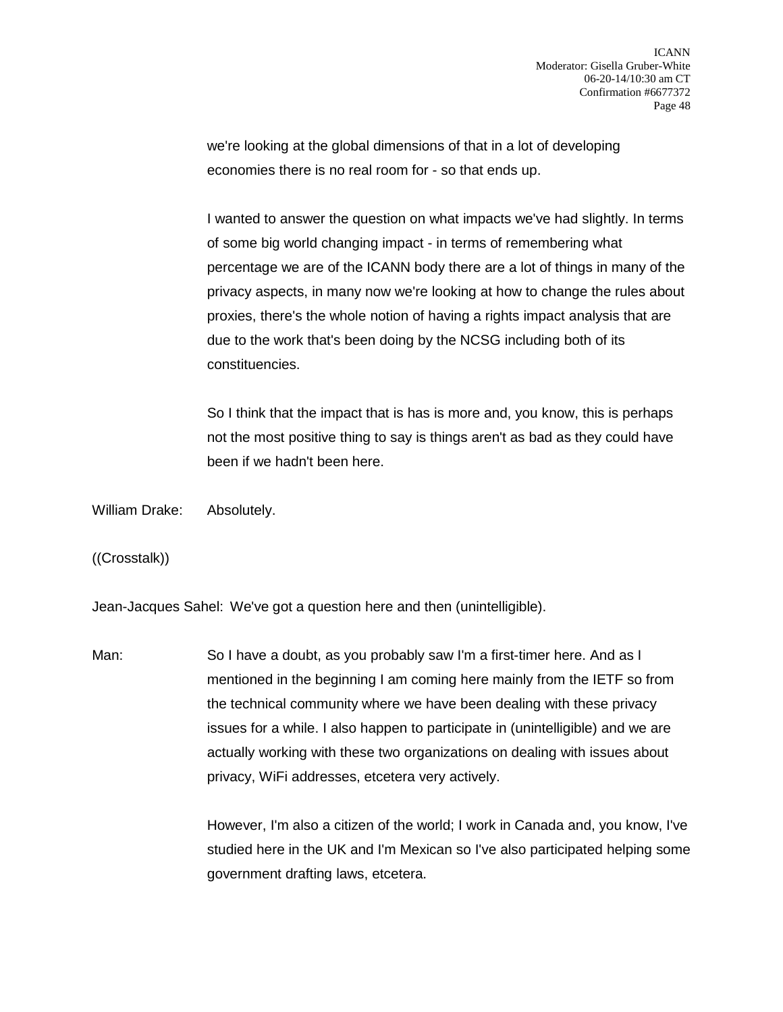we're looking at the global dimensions of that in a lot of developing economies there is no real room for - so that ends up.

I wanted to answer the question on what impacts we've had slightly. In terms of some big world changing impact - in terms of remembering what percentage we are of the ICANN body there are a lot of things in many of the privacy aspects, in many now we're looking at how to change the rules about proxies, there's the whole notion of having a rights impact analysis that are due to the work that's been doing by the NCSG including both of its constituencies.

So I think that the impact that is has is more and, you know, this is perhaps not the most positive thing to say is things aren't as bad as they could have been if we hadn't been here.

William Drake: Absolutely.

((Crosstalk))

Jean-Jacques Sahel: We've got a question here and then (unintelligible).

Man: So I have a doubt, as you probably saw I'm a first-timer here. And as I mentioned in the beginning I am coming here mainly from the IETF so from the technical community where we have been dealing with these privacy issues for a while. I also happen to participate in (unintelligible) and we are actually working with these two organizations on dealing with issues about privacy, WiFi addresses, etcetera very actively.

> However, I'm also a citizen of the world; I work in Canada and, you know, I've studied here in the UK and I'm Mexican so I've also participated helping some government drafting laws, etcetera.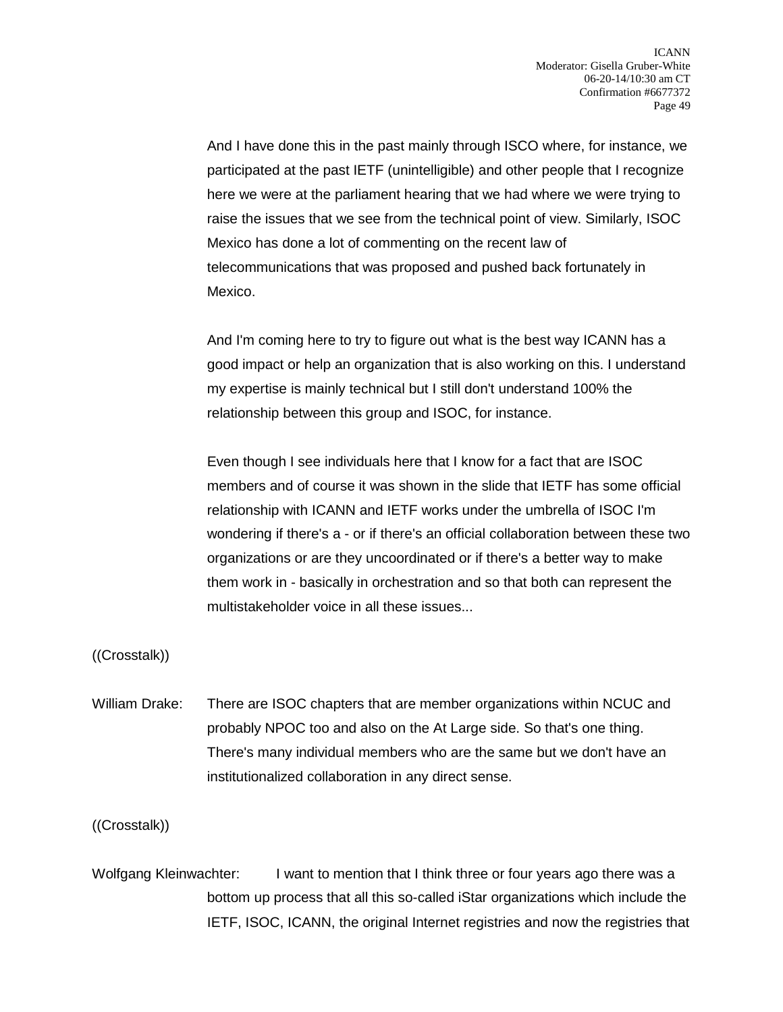And I have done this in the past mainly through ISCO where, for instance, we participated at the past IETF (unintelligible) and other people that I recognize here we were at the parliament hearing that we had where we were trying to raise the issues that we see from the technical point of view. Similarly, ISOC Mexico has done a lot of commenting on the recent law of telecommunications that was proposed and pushed back fortunately in Mexico.

And I'm coming here to try to figure out what is the best way ICANN has a good impact or help an organization that is also working on this. I understand my expertise is mainly technical but I still don't understand 100% the relationship between this group and ISOC, for instance.

Even though I see individuals here that I know for a fact that are ISOC members and of course it was shown in the slide that IETF has some official relationship with ICANN and IETF works under the umbrella of ISOC I'm wondering if there's a - or if there's an official collaboration between these two organizations or are they uncoordinated or if there's a better way to make them work in - basically in orchestration and so that both can represent the multistakeholder voice in all these issues...

((Crosstalk))

William Drake: There are ISOC chapters that are member organizations within NCUC and probably NPOC too and also on the At Large side. So that's one thing. There's many individual members who are the same but we don't have an institutionalized collaboration in any direct sense.

((Crosstalk))

Wolfgang Kleinwachter: I want to mention that I think three or four years ago there was a bottom up process that all this so-called iStar organizations which include the IETF, ISOC, ICANN, the original Internet registries and now the registries that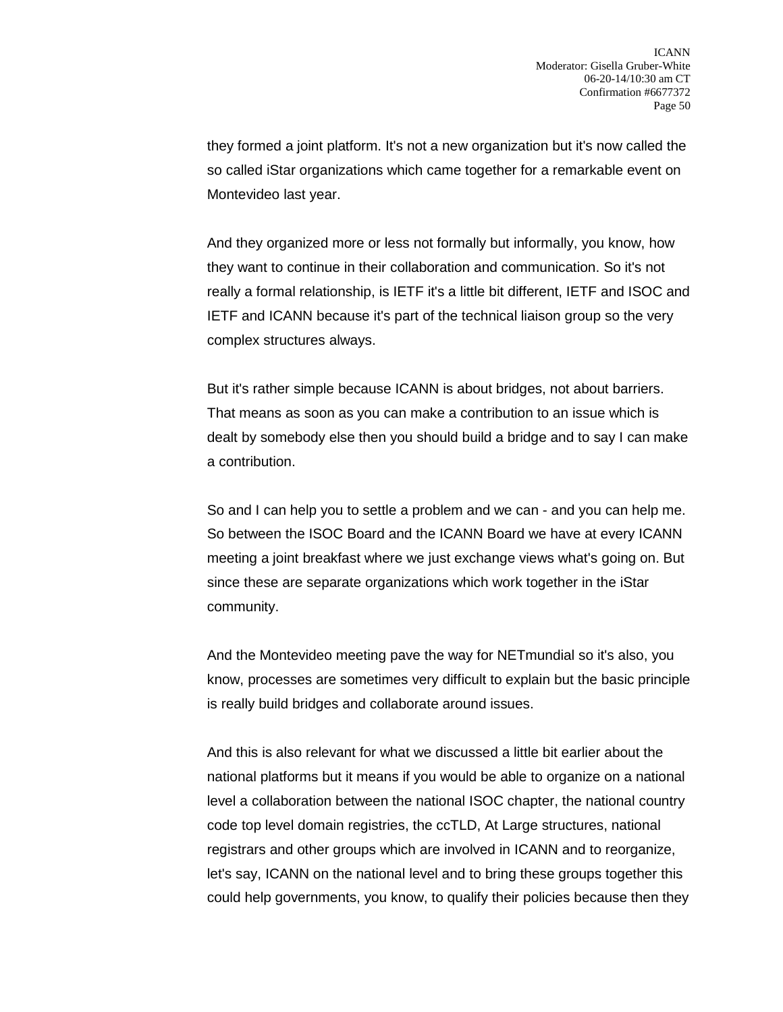they formed a joint platform. It's not a new organization but it's now called the so called iStar organizations which came together for a remarkable event on Montevideo last year.

And they organized more or less not formally but informally, you know, how they want to continue in their collaboration and communication. So it's not really a formal relationship, is IETF it's a little bit different, IETF and ISOC and IETF and ICANN because it's part of the technical liaison group so the very complex structures always.

But it's rather simple because ICANN is about bridges, not about barriers. That means as soon as you can make a contribution to an issue which is dealt by somebody else then you should build a bridge and to say I can make a contribution.

So and I can help you to settle a problem and we can - and you can help me. So between the ISOC Board and the ICANN Board we have at every ICANN meeting a joint breakfast where we just exchange views what's going on. But since these are separate organizations which work together in the iStar community.

And the Montevideo meeting pave the way for NETmundial so it's also, you know, processes are sometimes very difficult to explain but the basic principle is really build bridges and collaborate around issues.

And this is also relevant for what we discussed a little bit earlier about the national platforms but it means if you would be able to organize on a national level a collaboration between the national ISOC chapter, the national country code top level domain registries, the ccTLD, At Large structures, national registrars and other groups which are involved in ICANN and to reorganize, let's say, ICANN on the national level and to bring these groups together this could help governments, you know, to qualify their policies because then they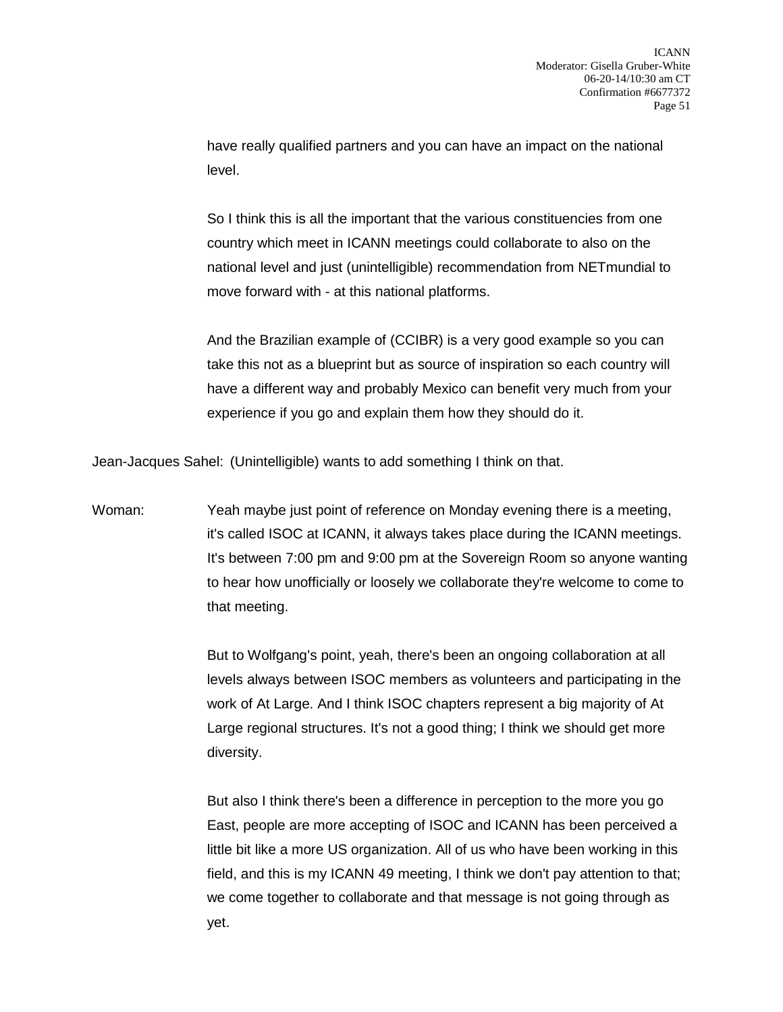have really qualified partners and you can have an impact on the national level.

So I think this is all the important that the various constituencies from one country which meet in ICANN meetings could collaborate to also on the national level and just (unintelligible) recommendation from NETmundial to move forward with - at this national platforms.

And the Brazilian example of (CCIBR) is a very good example so you can take this not as a blueprint but as source of inspiration so each country will have a different way and probably Mexico can benefit very much from your experience if you go and explain them how they should do it.

Jean-Jacques Sahel: (Unintelligible) wants to add something I think on that.

Woman: Yeah maybe just point of reference on Monday evening there is a meeting, it's called ISOC at ICANN, it always takes place during the ICANN meetings. It's between 7:00 pm and 9:00 pm at the Sovereign Room so anyone wanting to hear how unofficially or loosely we collaborate they're welcome to come to that meeting.

> But to Wolfgang's point, yeah, there's been an ongoing collaboration at all levels always between ISOC members as volunteers and participating in the work of At Large. And I think ISOC chapters represent a big majority of At Large regional structures. It's not a good thing; I think we should get more diversity.

> But also I think there's been a difference in perception to the more you go East, people are more accepting of ISOC and ICANN has been perceived a little bit like a more US organization. All of us who have been working in this field, and this is my ICANN 49 meeting, I think we don't pay attention to that; we come together to collaborate and that message is not going through as yet.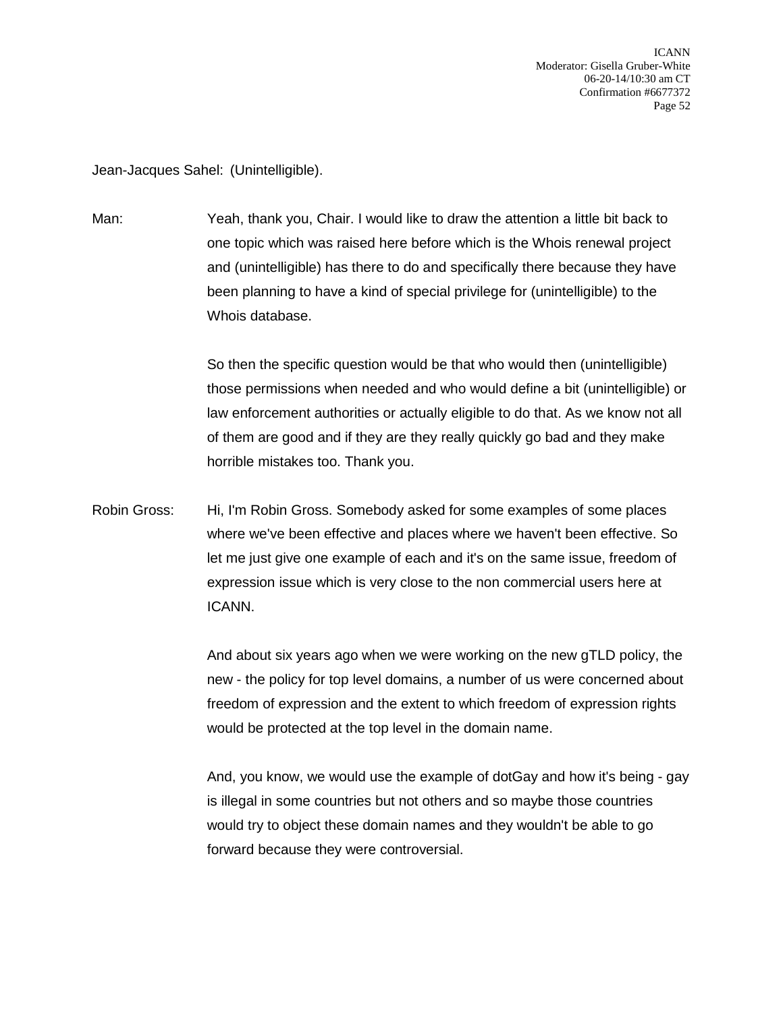Jean-Jacques Sahel: (Unintelligible).

Man: Yeah, thank you, Chair. I would like to draw the attention a little bit back to one topic which was raised here before which is the Whois renewal project and (unintelligible) has there to do and specifically there because they have been planning to have a kind of special privilege for (unintelligible) to the Whois database.

> So then the specific question would be that who would then (unintelligible) those permissions when needed and who would define a bit (unintelligible) or law enforcement authorities or actually eligible to do that. As we know not all of them are good and if they are they really quickly go bad and they make horrible mistakes too. Thank you.

Robin Gross: Hi, I'm Robin Gross. Somebody asked for some examples of some places where we've been effective and places where we haven't been effective. So let me just give one example of each and it's on the same issue, freedom of expression issue which is very close to the non commercial users here at ICANN.

> And about six years ago when we were working on the new gTLD policy, the new - the policy for top level domains, a number of us were concerned about freedom of expression and the extent to which freedom of expression rights would be protected at the top level in the domain name.

> And, you know, we would use the example of dotGay and how it's being - gay is illegal in some countries but not others and so maybe those countries would try to object these domain names and they wouldn't be able to go forward because they were controversial.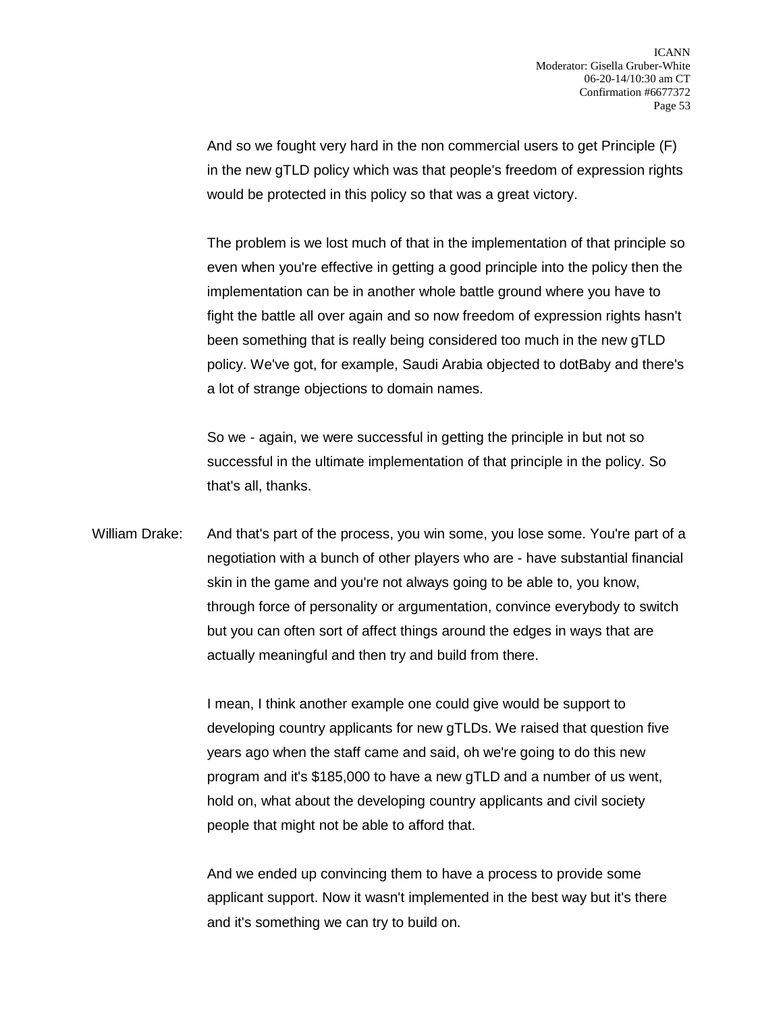And so we fought very hard in the non commercial users to get Principle (F) in the new gTLD policy which was that people's freedom of expression rights would be protected in this policy so that was a great victory.

The problem is we lost much of that in the implementation of that principle so even when you're effective in getting a good principle into the policy then the implementation can be in another whole battle ground where you have to fight the battle all over again and so now freedom of expression rights hasn't been something that is really being considered too much in the new gTLD policy. We've got, for example, Saudi Arabia objected to dotBaby and there's a lot of strange objections to domain names.

So we - again, we were successful in getting the principle in but not so successful in the ultimate implementation of that principle in the policy. So that's all, thanks.

William Drake: And that's part of the process, you win some, you lose some. You're part of a negotiation with a bunch of other players who are - have substantial financial skin in the game and you're not always going to be able to, you know, through force of personality or argumentation, convince everybody to switch but you can often sort of affect things around the edges in ways that are actually meaningful and then try and build from there.

> I mean, I think another example one could give would be support to developing country applicants for new gTLDs. We raised that question five years ago when the staff came and said, oh we're going to do this new program and it's \$185,000 to have a new gTLD and a number of us went, hold on, what about the developing country applicants and civil society people that might not be able to afford that.

> And we ended up convincing them to have a process to provide some applicant support. Now it wasn't implemented in the best way but it's there and it's something we can try to build on.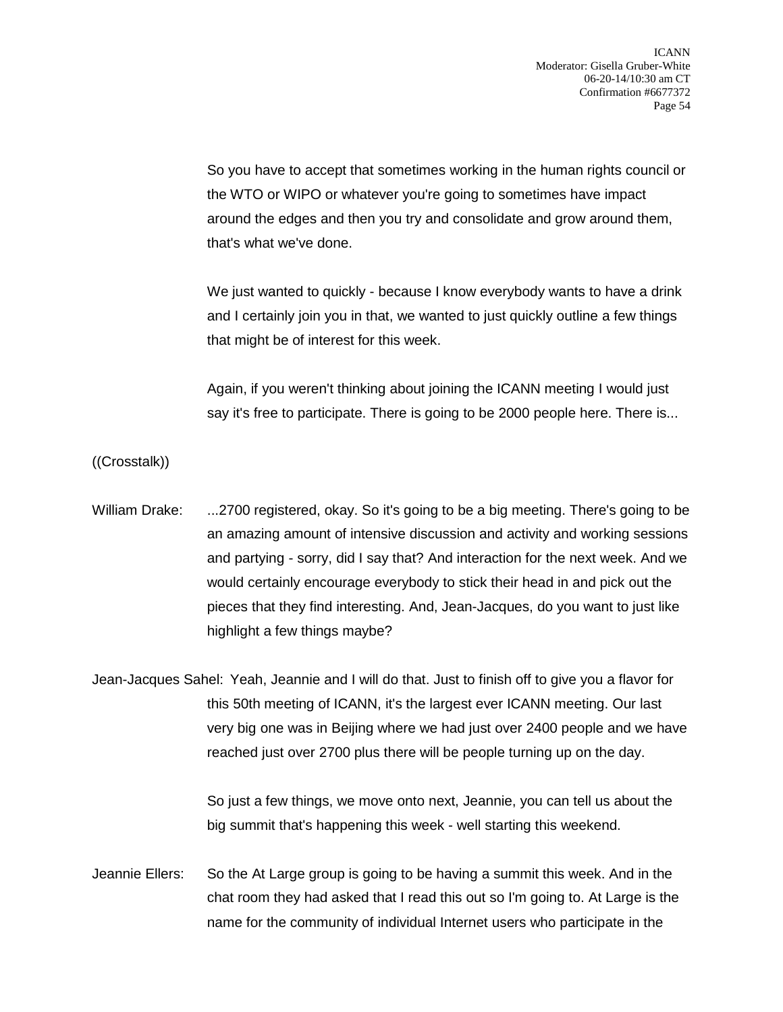So you have to accept that sometimes working in the human rights council or the WTO or WIPO or whatever you're going to sometimes have impact around the edges and then you try and consolidate and grow around them, that's what we've done.

We just wanted to quickly - because I know everybody wants to have a drink and I certainly join you in that, we wanted to just quickly outline a few things that might be of interest for this week.

Again, if you weren't thinking about joining the ICANN meeting I would just say it's free to participate. There is going to be 2000 people here. There is...

((Crosstalk))

William Drake: ...2700 registered, okay. So it's going to be a big meeting. There's going to be an amazing amount of intensive discussion and activity and working sessions and partying - sorry, did I say that? And interaction for the next week. And we would certainly encourage everybody to stick their head in and pick out the pieces that they find interesting. And, Jean-Jacques, do you want to just like highlight a few things maybe?

Jean-Jacques Sahel: Yeah, Jeannie and I will do that. Just to finish off to give you a flavor for this 50th meeting of ICANN, it's the largest ever ICANN meeting. Our last very big one was in Beijing where we had just over 2400 people and we have reached just over 2700 plus there will be people turning up on the day.

> So just a few things, we move onto next, Jeannie, you can tell us about the big summit that's happening this week - well starting this weekend.

Jeannie Ellers: So the At Large group is going to be having a summit this week. And in the chat room they had asked that I read this out so I'm going to. At Large is the name for the community of individual Internet users who participate in the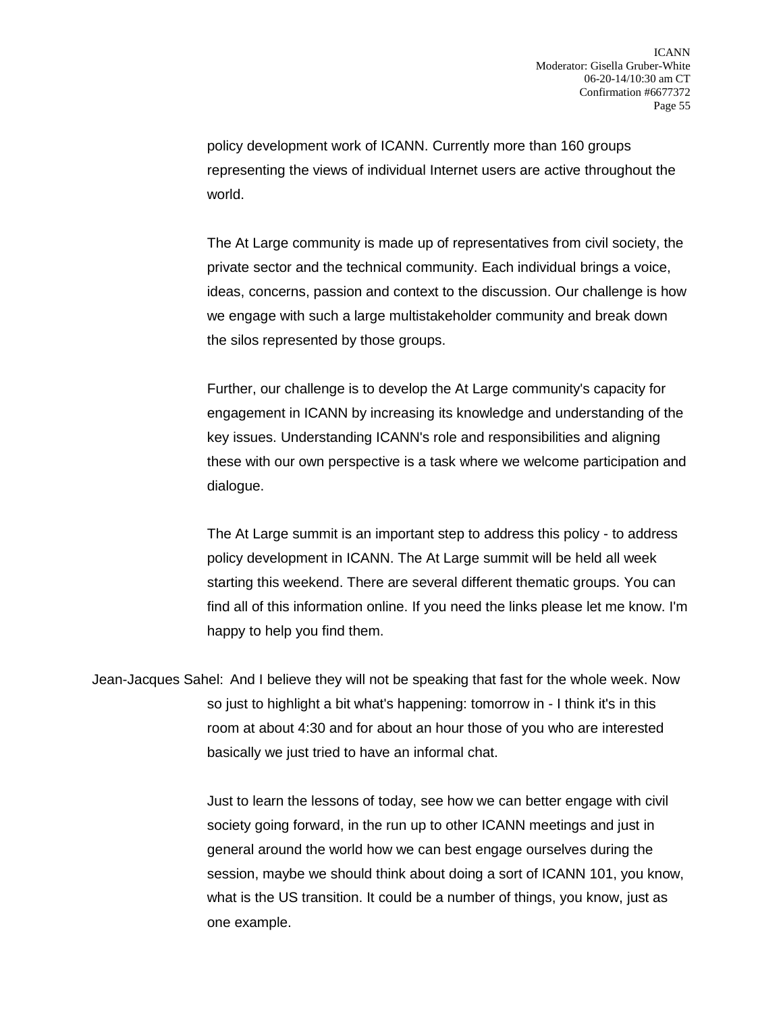policy development work of ICANN. Currently more than 160 groups representing the views of individual Internet users are active throughout the world.

The At Large community is made up of representatives from civil society, the private sector and the technical community. Each individual brings a voice, ideas, concerns, passion and context to the discussion. Our challenge is how we engage with such a large multistakeholder community and break down the silos represented by those groups.

Further, our challenge is to develop the At Large community's capacity for engagement in ICANN by increasing its knowledge and understanding of the key issues. Understanding ICANN's role and responsibilities and aligning these with our own perspective is a task where we welcome participation and dialogue.

The At Large summit is an important step to address this policy - to address policy development in ICANN. The At Large summit will be held all week starting this weekend. There are several different thematic groups. You can find all of this information online. If you need the links please let me know. I'm happy to help you find them.

Jean-Jacques Sahel: And I believe they will not be speaking that fast for the whole week. Now so just to highlight a bit what's happening: tomorrow in - I think it's in this room at about 4:30 and for about an hour those of you who are interested basically we just tried to have an informal chat.

> Just to learn the lessons of today, see how we can better engage with civil society going forward, in the run up to other ICANN meetings and just in general around the world how we can best engage ourselves during the session, maybe we should think about doing a sort of ICANN 101, you know, what is the US transition. It could be a number of things, you know, just as one example.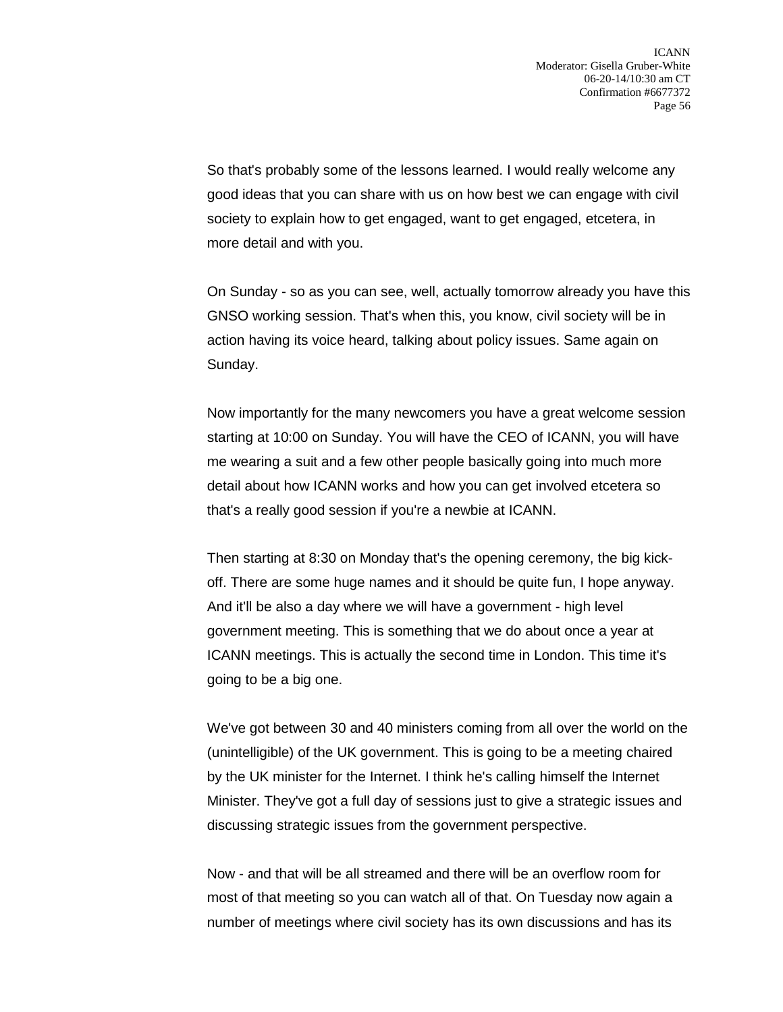So that's probably some of the lessons learned. I would really welcome any good ideas that you can share with us on how best we can engage with civil society to explain how to get engaged, want to get engaged, etcetera, in more detail and with you.

On Sunday - so as you can see, well, actually tomorrow already you have this GNSO working session. That's when this, you know, civil society will be in action having its voice heard, talking about policy issues. Same again on Sunday.

Now importantly for the many newcomers you have a great welcome session starting at 10:00 on Sunday. You will have the CEO of ICANN, you will have me wearing a suit and a few other people basically going into much more detail about how ICANN works and how you can get involved etcetera so that's a really good session if you're a newbie at ICANN.

Then starting at 8:30 on Monday that's the opening ceremony, the big kickoff. There are some huge names and it should be quite fun, I hope anyway. And it'll be also a day where we will have a government - high level government meeting. This is something that we do about once a year at ICANN meetings. This is actually the second time in London. This time it's going to be a big one.

We've got between 30 and 40 ministers coming from all over the world on the (unintelligible) of the UK government. This is going to be a meeting chaired by the UK minister for the Internet. I think he's calling himself the Internet Minister. They've got a full day of sessions just to give a strategic issues and discussing strategic issues from the government perspective.

Now - and that will be all streamed and there will be an overflow room for most of that meeting so you can watch all of that. On Tuesday now again a number of meetings where civil society has its own discussions and has its